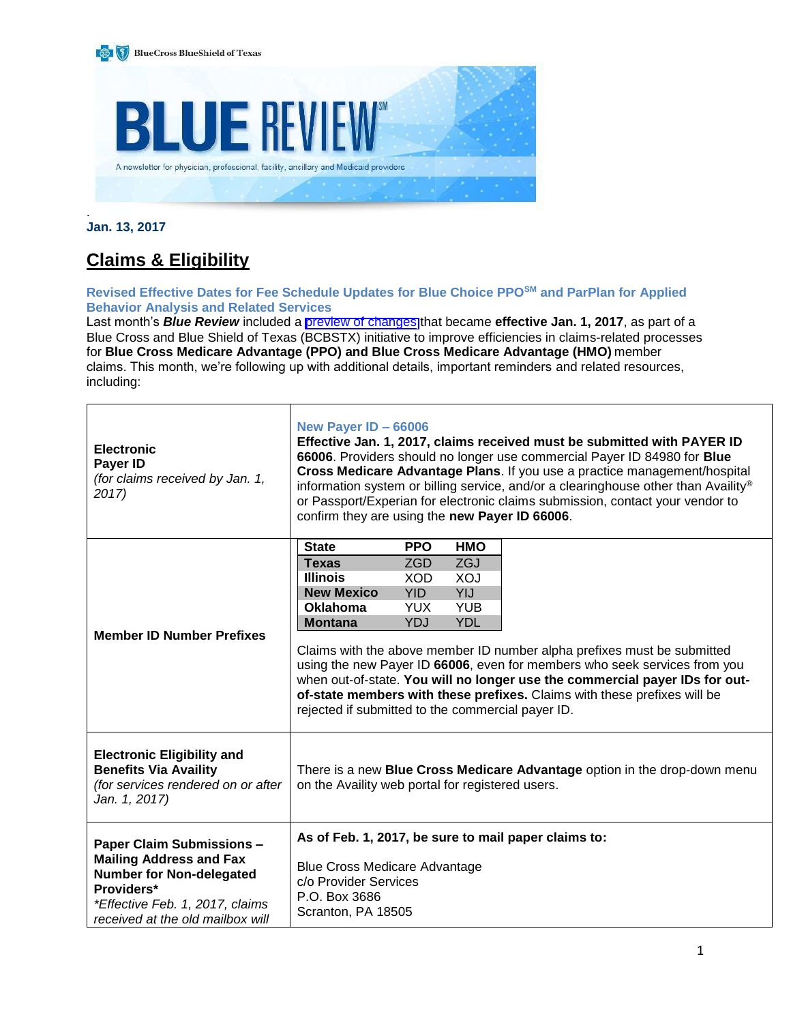

**Jan. 13, 2017**

# **Claims & Eligibility**

# **Revised Effective Dates for Fee Schedule Updates for Blue Choice PPOSM and ParPlan for Applied Behavior Analysis and Related Services**

Last month's *Blue Review* included a [preview of changes](https://www.bcbstx.com/provider/news/bluereview.html) that became **effective Jan. 1, 2017**, as part of a Blue Cross and Blue Shield of Texas (BCBSTX) initiative to improve efficiencies in claims-related processes for **Blue Cross Medicare Advantage (PPO) and Blue Cross Medicare Advantage (HMO)** member claims. This month, we're following up with additional details, important reminders and related resources, including:

| <b>Electronic</b><br>Payer ID<br>(for claims received by Jan. 1,<br>2017)                                                                              | New Payer ID - 66006<br>Effective Jan. 1, 2017, claims received must be submitted with PAYER ID<br>66006. Providers should no longer use commercial Payer ID 84980 for Blue<br>Cross Medicare Advantage Plans. If you use a practice management/hospital<br>information system or billing service, and/or a clearinghouse other than Availity®<br>or Passport/Experian for electronic claims submission, contact your vendor to<br>confirm they are using the new Payer ID 66006. |                          |            |  |
|--------------------------------------------------------------------------------------------------------------------------------------------------------|-----------------------------------------------------------------------------------------------------------------------------------------------------------------------------------------------------------------------------------------------------------------------------------------------------------------------------------------------------------------------------------------------------------------------------------------------------------------------------------|--------------------------|------------|--|
|                                                                                                                                                        | <b>State</b>                                                                                                                                                                                                                                                                                                                                                                                                                                                                      | <b>PPO</b>               | <b>HMO</b> |  |
|                                                                                                                                                        | <b>Texas</b><br><b>Illinois</b>                                                                                                                                                                                                                                                                                                                                                                                                                                                   | <b>ZGD</b><br><b>XOD</b> | ZGJ<br>XOJ |  |
|                                                                                                                                                        | <b>New Mexico</b>                                                                                                                                                                                                                                                                                                                                                                                                                                                                 | YID.                     | YIJ        |  |
|                                                                                                                                                        | <b>Oklahoma</b>                                                                                                                                                                                                                                                                                                                                                                                                                                                                   | <b>YUX</b>               | <b>YUB</b> |  |
|                                                                                                                                                        | <b>Montana</b>                                                                                                                                                                                                                                                                                                                                                                                                                                                                    | YDJ                      | <b>YDL</b> |  |
| <b>Member ID Number Prefixes</b>                                                                                                                       | Claims with the above member ID number alpha prefixes must be submitted<br>using the new Payer ID 66006, even for members who seek services from you<br>when out-of-state. You will no longer use the commercial payer IDs for out-<br>of-state members with these prefixes. Claims with these prefixes will be<br>rejected if submitted to the commercial payer ID.                                                                                                              |                          |            |  |
| <b>Electronic Eligibility and</b><br><b>Benefits Via Availity</b><br>(for services rendered on or after<br>Jan. 1, 2017)                               | There is a new Blue Cross Medicare Advantage option in the drop-down menu<br>on the Availity web portal for registered users.                                                                                                                                                                                                                                                                                                                                                     |                          |            |  |
| <b>Paper Claim Submissions -</b>                                                                                                                       | As of Feb. 1, 2017, be sure to mail paper claims to:                                                                                                                                                                                                                                                                                                                                                                                                                              |                          |            |  |
| <b>Mailing Address and Fax</b><br><b>Number for Non-delegated</b><br>Providers*<br>*Effective Feb. 1, 2017, claims<br>received at the old mailbox will | <b>Blue Cross Medicare Advantage</b><br>c/o Provider Services<br>P.O. Box 3686<br>Scranton, PA 18505                                                                                                                                                                                                                                                                                                                                                                              |                          |            |  |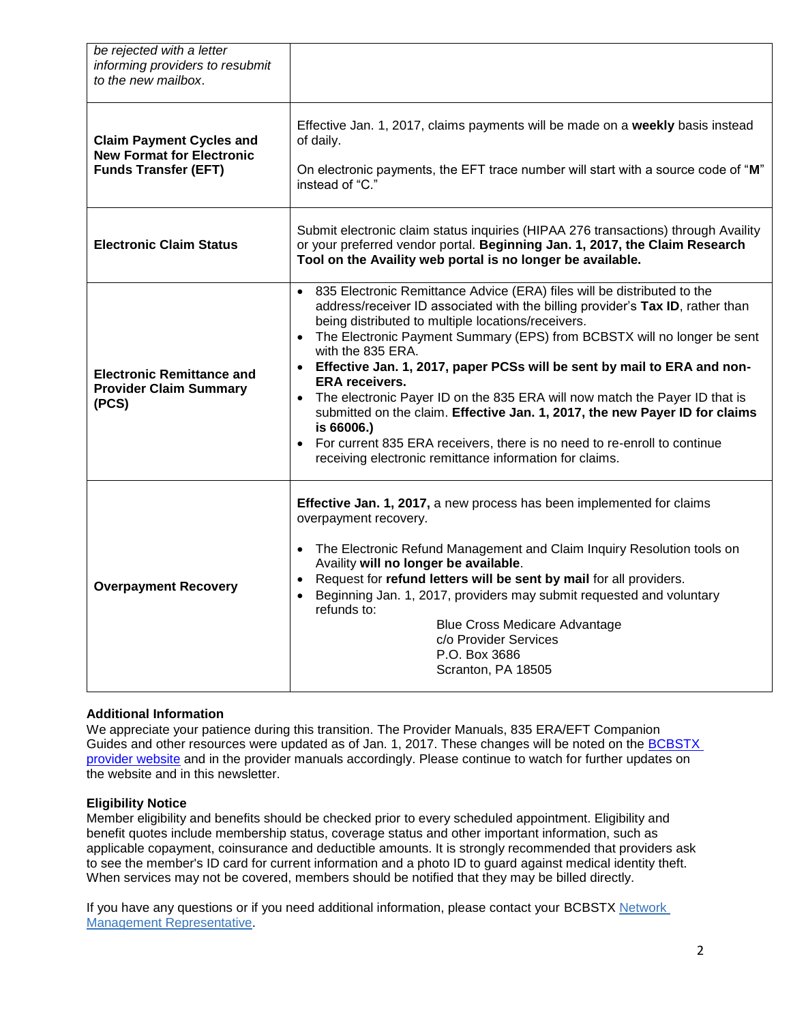| be rejected with a letter<br>informing providers to resubmit<br>to the new mailbox.                |                                                                                                                                                                                                                                                                                                                                                                                                                                                                                                                                                                                                                                                                                                                                                                   |  |
|----------------------------------------------------------------------------------------------------|-------------------------------------------------------------------------------------------------------------------------------------------------------------------------------------------------------------------------------------------------------------------------------------------------------------------------------------------------------------------------------------------------------------------------------------------------------------------------------------------------------------------------------------------------------------------------------------------------------------------------------------------------------------------------------------------------------------------------------------------------------------------|--|
| <b>Claim Payment Cycles and</b><br><b>New Format for Electronic</b><br><b>Funds Transfer (EFT)</b> | Effective Jan. 1, 2017, claims payments will be made on a weekly basis instead<br>of daily.<br>On electronic payments, the EFT trace number will start with a source code of "M"<br>instead of "C."                                                                                                                                                                                                                                                                                                                                                                                                                                                                                                                                                               |  |
| <b>Electronic Claim Status</b>                                                                     | Submit electronic claim status inquiries (HIPAA 276 transactions) through Availity<br>or your preferred vendor portal. Beginning Jan. 1, 2017, the Claim Research<br>Tool on the Availity web portal is no longer be available.                                                                                                                                                                                                                                                                                                                                                                                                                                                                                                                                   |  |
| <b>Electronic Remittance and</b><br><b>Provider Claim Summary</b><br>(PCS)                         | 835 Electronic Remittance Advice (ERA) files will be distributed to the<br>$\bullet$<br>address/receiver ID associated with the billing provider's Tax ID, rather than<br>being distributed to multiple locations/receivers.<br>• The Electronic Payment Summary (EPS) from BCBSTX will no longer be sent<br>with the 835 ERA.<br>Effective Jan. 1, 2017, paper PCSs will be sent by mail to ERA and non-<br><b>ERA</b> receivers.<br>The electronic Payer ID on the 835 ERA will now match the Payer ID that is<br>submitted on the claim. Effective Jan. 1, 2017, the new Payer ID for claims<br>is 66006.)<br>For current 835 ERA receivers, there is no need to re-enroll to continue<br>$\bullet$<br>receiving electronic remittance information for claims. |  |
| <b>Overpayment Recovery</b>                                                                        | Effective Jan. 1, 2017, a new process has been implemented for claims<br>overpayment recovery.<br>The Electronic Refund Management and Claim Inquiry Resolution tools on<br>$\bullet$<br>Availity will no longer be available.<br>Request for refund letters will be sent by mail for all providers.<br>Beginning Jan. 1, 2017, providers may submit requested and voluntary<br>refunds to:<br><b>Blue Cross Medicare Advantage</b><br>c/o Provider Services<br>P.O. Box 3686<br>Scranton, PA 18505                                                                                                                                                                                                                                                               |  |

# **Additional Information**

We appreciate your patience during this transition. The Provider Manuals, 835 ERA/EFT Companion Guides and other resources were updated as of Jan. 1, 2017. These changes will be noted on the BCBSTX [provider website](http://www.bcbstx.com/provider/) and in the provider manuals accordingly. Please continue to watch for further updates on the website and in this newsletter.

# **Eligibility Notice**

Member eligibility and benefits should be checked prior to every scheduled appointment. Eligibility and benefit quotes include membership status, coverage status and other important information, such as applicable copayment, coinsurance and deductible amounts. It is strongly recommended that providers ask to see the member's ID card for current information and a photo ID to guard against medical identity theft. When services may not be covered, members should be notified that they may be billed directly.

If you have any questions or if you need additional information, please contact your BCBSTX [Network](https://www.bcbstx.com/provider/contact_us.html#localnetwork) [Management Representative.](https://www.bcbstx.com/provider/contact_us.html#localnetwork)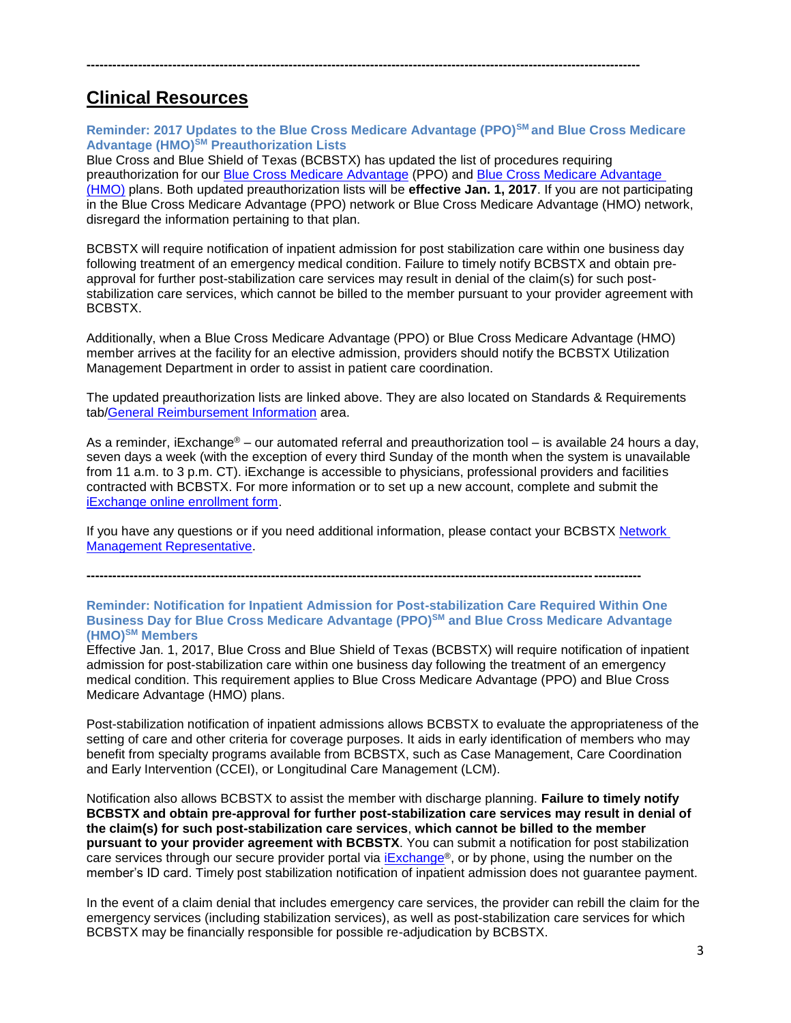# **Clinical Resources**

**Reminder: 2017 Updates to the Blue Cross Medicare Advantage (PPO)SM and Blue Cross Medicare Advantage (HMO)SM Preauthorization Lists** 

**---------------------------------------------------------------------------------------------------------------------------------**

Blue Cross and Blue Shield of Texas (BCBSTX) has updated the list of procedures requiring preauthorization for our [Blue Cross Medicare Advantage](http://www.bcbstx.com/provider/pdf/bma-preauth-2017.pdf) (PPO) and [Blue Cross Medicare Advantage](http://www.bcbstx.com/provider/pdf/bcma-preauth-2017.pdf)  [\(HMO\)](http://www.bcbstx.com/provider/pdf/bcma-preauth-2017.pdf) plans. Both updated preauthorization lists will be **effective Jan. 1, 2017**. If you are not participating in the Blue Cross Medicare Advantage (PPO) network or Blue Cross Medicare Advantage (HMO) network, disregard the information pertaining to that plan.

BCBSTX will require notification of inpatient admission for post stabilization care within one business day following treatment of an emergency medical condition. Failure to timely notify BCBSTX and obtain preapproval for further post-stabilization care services may result in denial of the claim(s) for such poststabilization care services, which cannot be billed to the member pursuant to your provider agreement with BCBSTX.

Additionally, when a Blue Cross Medicare Advantage (PPO) or Blue Cross Medicare Advantage (HMO) member arrives at the facility for an elective admission, providers should notify the BCBSTX Utilization Management Department in order to assist in patient care coordination.

The updated preauthorization lists are linked above. They are also located on Standards & Requirements tab[/General Reimbursement Information](http://www.bcbstx.com/provider/gri/index.html) area.

As a reminder, iExchange® – our automated referral and preauthorization tool – is available 24 hours a day, seven days a week (with the exception of every third Sunday of the month when the system is unavailable from 11 a.m. to 3 p.m. CT). iExchange is accessible to physicians, professional providers and facilities contracted with BCBSTX. For more information or to set up a new account, complete and submit the [iExchange online enrollment form.](http://www.bcbstx.com/provider/tools/iexchange.html)

If you have any questions or if you need additional information, please contact your BCBSTX [Network](http://www.bcbstx.com/provider/contact_us.html)  [Management Representative.](http://www.bcbstx.com/provider/contact_us.html)

**---------------------------------------------------------------------------------------------------------------------------------**

**Reminder: Notification for Inpatient Admission for Post-stabilization Care Required Within One Business Day for Blue Cross Medicare Advantage (PPO)SM and Blue Cross Medicare Advantage (HMO)SM Members**

Effective Jan. 1, 2017, Blue Cross and Blue Shield of Texas (BCBSTX) will require notification of inpatient admission for post-stabilization care within one business day following the treatment of an emergency medical condition. This requirement applies to Blue Cross Medicare Advantage (PPO) and Blue Cross Medicare Advantage (HMO) plans.

Post-stabilization notification of inpatient admissions allows BCBSTX to evaluate the appropriateness of the setting of care and other criteria for coverage purposes. It aids in early identification of members who may benefit from specialty programs available from BCBSTX, such as Case Management, Care Coordination and Early Intervention (CCEI), or Longitudinal Care Management (LCM).

Notification also allows BCBSTX to assist the member with discharge planning. **Failure to timely notify BCBSTX and obtain pre-approval for further post-stabilization care services may result in denial of the claim(s) for such post-stabilization care services**, **which cannot be billed to the member pursuant to your provider agreement with BCBSTX**. You can submit a notification for post stabilization care services through our secure provider portal via [iExchange](http://www.bcbstx.com/provider/tools/iexchange.html)®, or by phone, using the number on the member's ID card. Timely post stabilization notification of inpatient admission does not guarantee payment.

In the event of a claim denial that includes emergency care services, the provider can rebill the claim for the emergency services (including stabilization services), as well as post-stabilization care services for which BCBSTX may be financially responsible for possible re-adjudication by BCBSTX.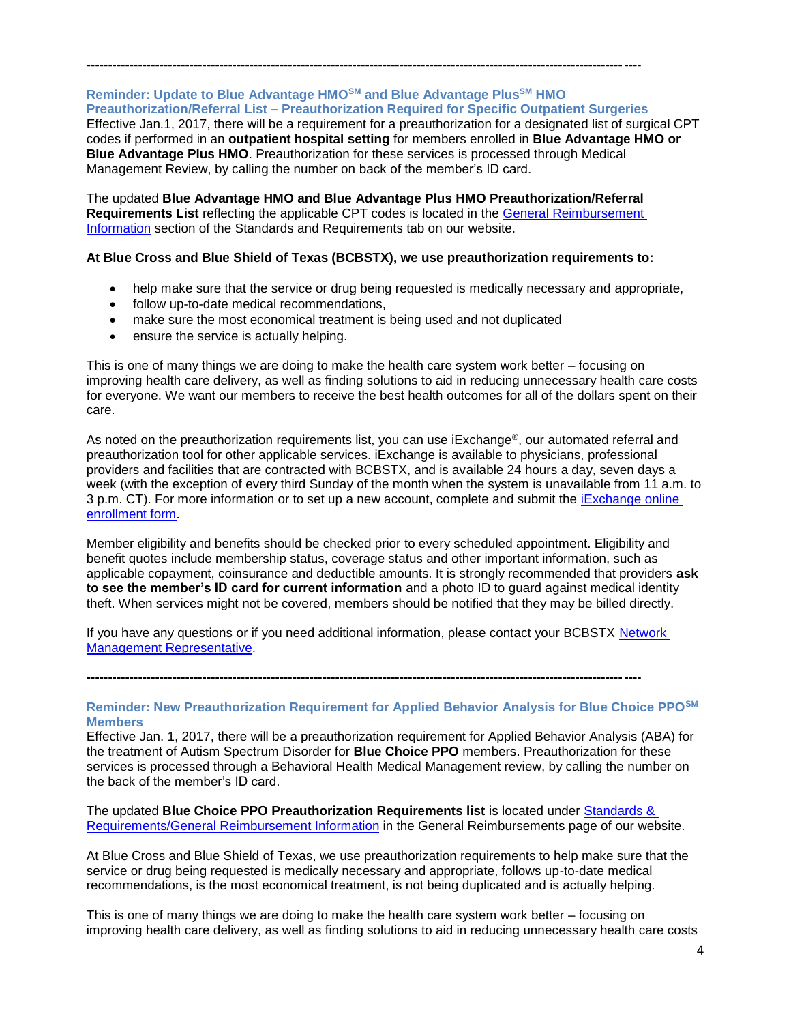# **Reminder: Update to Blue Advantage HMOSM and Blue Advantage PlusSM HMO Preauthorization/Referral List – Preauthorization Required for Specific Outpatient Surgeries**

**---------------------------------------------------------------------------------------------------------------------------------**

Effective Jan.1, 2017, there will be a requirement for a preauthorization for a designated list of surgical CPT codes if performed in an **outpatient hospital setting** for members enrolled in **Blue Advantage HMO or Blue Advantage Plus HMO**. Preauthorization for these services is processed through Medical Management Review, by calling the number on back of the member's ID card.

The updated **Blue Advantage HMO and Blue Advantage Plus HMO Preauthorization/Referral Requirements List** reflecting the applicable CPT codes is located in the [General Reimbursement](http://www.bcbstx.com/provider/gri)  [Information](http://www.bcbstx.com/provider/gri) section of the Standards and Requirements tab on our website.

### **At Blue Cross and Blue Shield of Texas (BCBSTX), we use preauthorization requirements to:**

- help make sure that the service or drug being requested is medically necessary and appropriate,
- follow up-to-date medical recommendations,
- make sure the most economical treatment is being used and not duplicated
- ensure the service is actually helping.

This is one of many things we are doing to make the health care system work better – focusing on improving health care delivery, as well as finding solutions to aid in reducing unnecessary health care costs for everyone. We want our members to receive the best health outcomes for all of the dollars spent on their care.

As noted on the preauthorization requirements list, you can use iExchange®, our automated referral and preauthorization tool for other applicable services. iExchange is available to physicians, professional providers and facilities that are contracted with BCBSTX, and is available 24 hours a day, seven days a week (with the exception of every third Sunday of the month when the system is unavailable from 11 a.m. to 3 p.m. CT). For more information or to set up a new account, complete and submit the [iExchange online](http://www.bcbstx.com/provider/tools/iexchange.html)  [enrollment form.](http://www.bcbstx.com/provider/tools/iexchange.html)

Member eligibility and benefits should be checked prior to every scheduled appointment. Eligibility and benefit quotes include membership status, coverage status and other important information, such as applicable copayment, coinsurance and deductible amounts. It is strongly recommended that providers **ask to see the member's ID card for current information** and a photo ID to guard against medical identity theft. When services might not be covered, members should be notified that they may be billed directly.

If you have any questions or if you need additional information, please contact your BCBSTX Network [Management Representative.](http://www.bcbstx.com/provider/contact_us.html)

**---------------------------------------------------------------------------------------------------------------------------------**

### **Reminder: New Preauthorization Requirement for Applied Behavior Analysis for Blue Choice PPOSM Members**

Effective Jan. 1, 2017, there will be a preauthorization requirement for Applied Behavior Analysis (ABA) for the treatment of Autism Spectrum Disorder for **Blue Choice PPO** members. Preauthorization for these services is processed through a Behavioral Health Medical Management review, by calling the number on the back of the member's ID card.

The updated **Blue Choice PPO Preauthorization Requirements list** is located under [Standards &](http://www.bcbstx.com/provider/gri/)  [Requirements/General Reimbursement Information](http://www.bcbstx.com/provider/gri/) in the General Reimbursements page of our website.

At Blue Cross and Blue Shield of Texas, we use preauthorization requirements to help make sure that the service or drug being requested is medically necessary and appropriate, follows up-to-date medical recommendations, is the most economical treatment, is not being duplicated and is actually helping.

This is one of many things we are doing to make the health care system work better – focusing on improving health care delivery, as well as finding solutions to aid in reducing unnecessary health care costs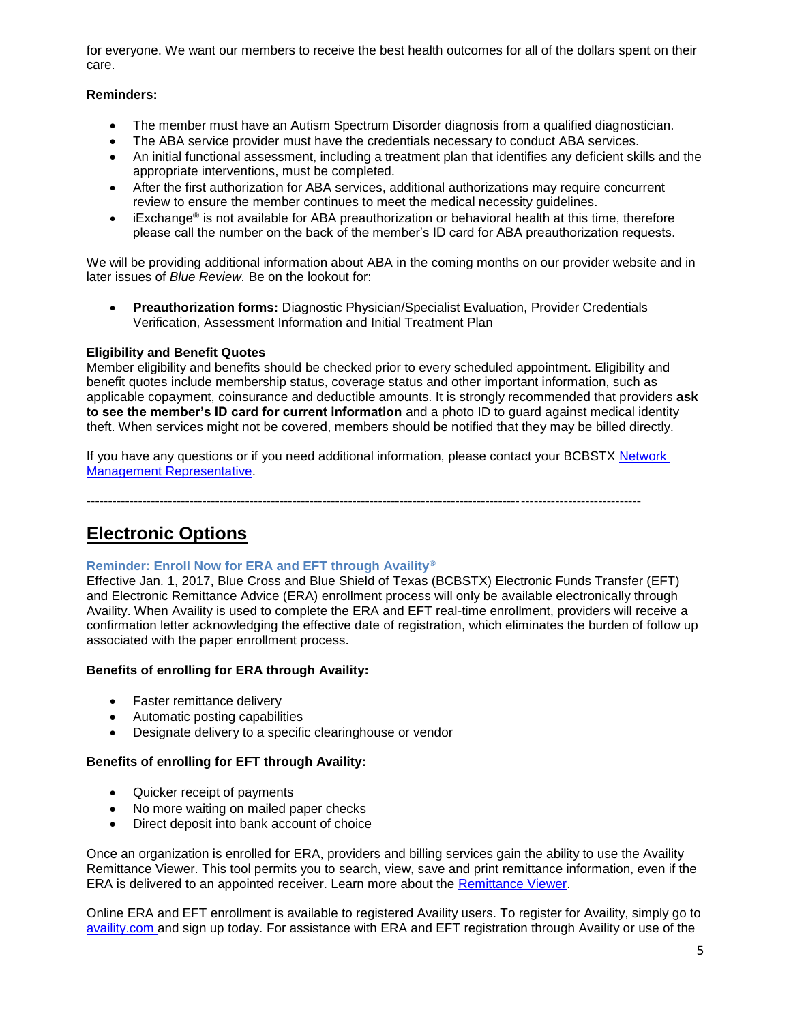for everyone. We want our members to receive the best health outcomes for all of the dollars spent on their care.

# **Reminders:**

- The member must have an Autism Spectrum Disorder diagnosis from a qualified diagnostician.
- The ABA service provider must have the credentials necessary to conduct ABA services.
- An initial functional assessment, including a treatment plan that identifies any deficient skills and the appropriate interventions, must be completed.
- After the first authorization for ABA services, additional authorizations may require concurrent review to ensure the member continues to meet the medical necessity guidelines.
- $\bullet$  iExchange<sup>®</sup> is not available for ABA preauthorization or behavioral health at this time, therefore please call the number on the back of the member's ID card for ABA preauthorization requests.

We will be providing additional information about ABA in the coming months on our provider website and in later issues of *Blue Review.* Be on the lookout for:

 **Preauthorization forms:** Diagnostic Physician/Specialist Evaluation, Provider Credentials Verification, Assessment Information and Initial Treatment Plan

# **Eligibility and Benefit Quotes**

Member eligibility and benefits should be checked prior to every scheduled appointment. Eligibility and benefit quotes include membership status, coverage status and other important information, such as applicable copayment, coinsurance and deductible amounts. It is strongly recommended that providers **ask to see the member's ID card for current information** and a photo ID to guard against medical identity theft. When services might not be covered, members should be notified that they may be billed directly.

If you have any questions or if you need additional information, please contact your BCBSTX Network [Management Representative.](http://www.bcbstx.com/provider/contact_us.html)

**---------------------------------------------------------------------------------------------------------------------------------**

# **Electronic Options**

# **Reminder: Enroll Now for ERA and EFT through Availity®**

Effective Jan. 1, 2017, Blue Cross and Blue Shield of Texas (BCBSTX) Electronic Funds Transfer (EFT) and Electronic Remittance Advice (ERA) enrollment process will only be available electronically through Availity. When Availity is used to complete the ERA and EFT real-time enrollment, providers will receive a confirmation letter acknowledging the effective date of registration, which eliminates the burden of follow up associated with the paper enrollment process.

# **Benefits of enrolling for ERA through Availity:**

- Faster remittance delivery
- Automatic posting capabilities
- Designate delivery to a specific clearinghouse or vendor

# **Benefits of enrolling for EFT through Availity:**

- Quicker receipt of payments
- No more waiting on mailed paper checks
- Direct deposit into bank account of choice

Once an organization is enrolled for ERA, providers and billing services gain the ability to use the Availity Remittance Viewer. This tool permits you to search, view, save and print remittance information, even if the ERA is delivered to an appointed receiver. Learn more about the [Remittance Viewer.](http://www.bcbstx.com/provider/tools/remittance_viewer_webinars.html)

Online ERA and EFT enrollment is available to registered Availity users. To register for Availity, simply go to [availity.com](https://www.availity.com/) and sign up today. For assistance with ERA and EFT registration through Availity or use of the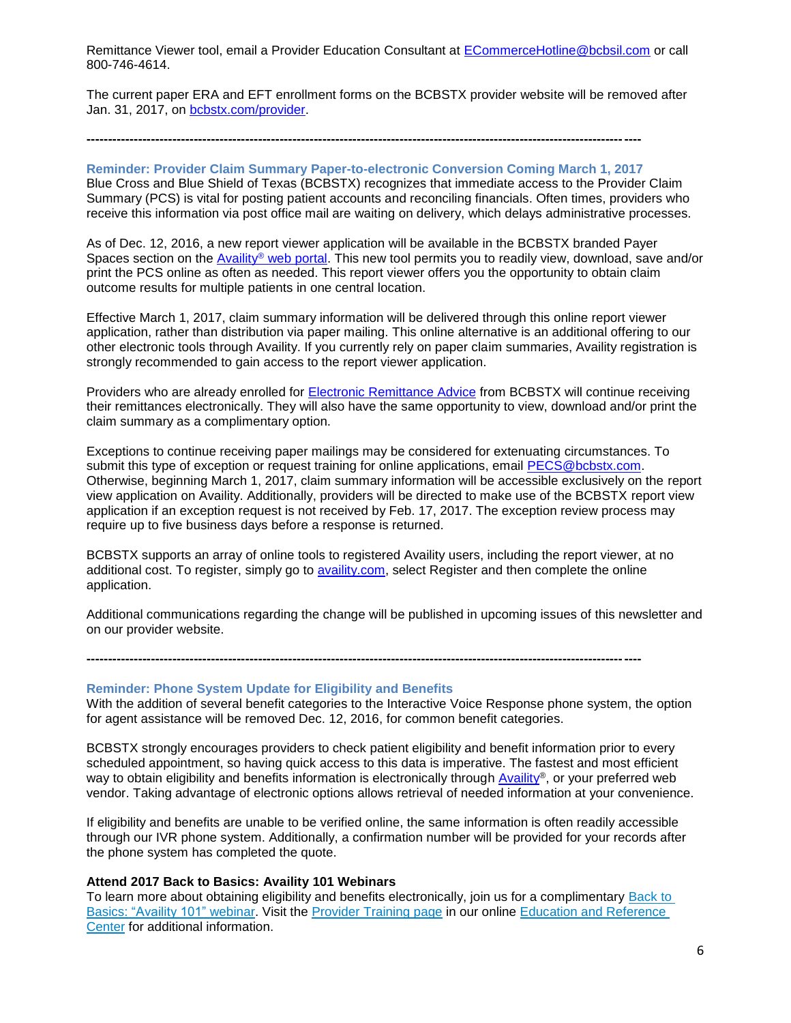Remittance Viewer tool, email a Provider Education Consultant at [ECommerceHotline@bcbsil.com](mailto:ECommerceHotline@bcbsil.com) or call 800-746-4614.

The current paper ERA and EFT enrollment forms on the BCBSTX provider website will be removed after Jan. 31, 2017, on [bcbstx.com/provider.](http://www.bcbstx.com/provider/)

#### **---------------------------------------------------------------------------------------------------------------------------------**

**Reminder: Provider Claim Summary Paper-to-electronic Conversion Coming March 1, 2017** Blue Cross and Blue Shield of Texas (BCBSTX) recognizes that immediate access to the Provider Claim Summary (PCS) is vital for posting patient accounts and reconciling financials. Often times, providers who receive this information via post office mail are waiting on delivery, which delays administrative processes.

As of Dec. 12, 2016, a new report viewer application will be available in the BCBSTX branded Payer Spaces section on the Availity® [web portal.](https://www.availity.com/) This new tool permits you to readily view, download, save and/or print the PCS online as often as needed. This report viewer offers you the opportunity to obtain claim outcome results for multiple patients in one central location.

Effective March 1, 2017, claim summary information will be delivered through this online report viewer application, rather than distribution via paper mailing. This online alternative is an additional offering to our other electronic tools through Availity. If you currently rely on paper claim summaries, Availity registration is strongly recommended to gain access to the report viewer application.

Providers who are already enrolled for [Electronic Remittance Advice](http://www.bcbstx.com/provider/claims/era.html) from BCBSTX will continue receiving their remittances electronically. They will also have the same opportunity to view, download and/or print the claim summary as a complimentary option.

Exceptions to continue receiving paper mailings may be considered for extenuating circumstances. To submit this type of exception or request training for online applications, email [PECS@bcbstx.com.](mailto:PECS@bcbstx.com) Otherwise, beginning March 1, 2017, claim summary information will be accessible exclusively on the report view application on Availity. Additionally, providers will be directed to make use of the BCBSTX report view application if an exception request is not received by Feb. 17, 2017. The exception review process may require up to five business days before a response is returned.

BCBSTX supports an array of online tools to registered Availity users, including the report viewer, at no additional cost. To register, simply go to [availity.com,](http://www.availity.com/) select Register and then complete the online application.

**---------------------------------------------------------------------------------------------------------------------------------**

Additional communications regarding the change will be published in upcoming issues of this newsletter and on our provider website.

#### **Reminder: Phone System Update for Eligibility and Benefits**

With the addition of several benefit categories to the Interactive Voice Response phone system, the option for agent assistance will be removed Dec. 12, 2016, for common benefit categories.

BCBSTX strongly encourages providers to check patient eligibility and benefit information prior to every scheduled appointment, so having quick access to this data is imperative. The fastest and most efficient way to obtain eligibility and benefits information is electronically through [Availity](https://www.availity.com/)®, or your preferred web vendor. Taking advantage of electronic options allows retrieval of needed information at your convenience.

If eligibility and benefits are unable to be verified online, the same information is often readily accessible through our IVR phone system. Additionally, a confirmation number will be provided for your records after the phone system has completed the quote.

#### **Attend 2017 Back to Basics: Availity 101 Webinars**

To learn more about obtaining eligibility and benefits electronically, join us for a complimentary [Back](http://www.pages02.net/hcscnosuppression/blue_review_december_2016/LPT.url?kn=957924&vs=MmRiZmFlNTUtNTdmYi00ODVkLTk2MTQtMTU4YzRiYzllMTBjOzA6MTAwMTA0NDc6MTM3MDU0MDE0OTA0OjEwNjA2Njk5NDE6MTA2MDY2OTk0MTsS1) to Basics: "Availity 101" [webinar.](http://www.pages02.net/hcscnosuppression/blue_review_december_2016/LPT.url?kn=957924&vs=MmRiZmFlNTUtNTdmYi00ODVkLTk2MTQtMTU4YzRiYzllMTBjOzA6MTAwMTA0NDc6MTM3MDU0MDE0OTA0OjEwNjA2Njk5NDE6MTA2MDY2OTk0MTsS1) Visit the [Provider](http://www.pages02.net/hcscnosuppression/blue_review_december_2016/LPT.url?kn=957925&vs=MmRiZmFlNTUtNTdmYi00ODVkLTk2MTQtMTU4YzRiYzllMTBjOzA6MTAwMTA0NDc6MTM3MDU0MDE0OTA0OjEwNjA2Njk5NDE6MTA2MDY2OTk0MTsS1) Training page in our online Education and [Reference](http://www.pages02.net/hcscnosuppression/blue_review_december_2016/LPT.url?kn=957926&vs=MmRiZmFlNTUtNTdmYi00ODVkLTk2MTQtMTU4YzRiYzllMTBjOzA6MTAwMTA0NDc6MTM3MDU0MDE0OTA0OjEwNjA2Njk5NDE6MTA2MDY2OTk0MTsS1) [Center](http://www.pages02.net/hcscnosuppression/blue_review_december_2016/LPT.url?kn=957926&vs=MmRiZmFlNTUtNTdmYi00ODVkLTk2MTQtMTU4YzRiYzllMTBjOzA6MTAwMTA0NDc6MTM3MDU0MDE0OTA0OjEwNjA2Njk5NDE6MTA2MDY2OTk0MTsS1) for additional information.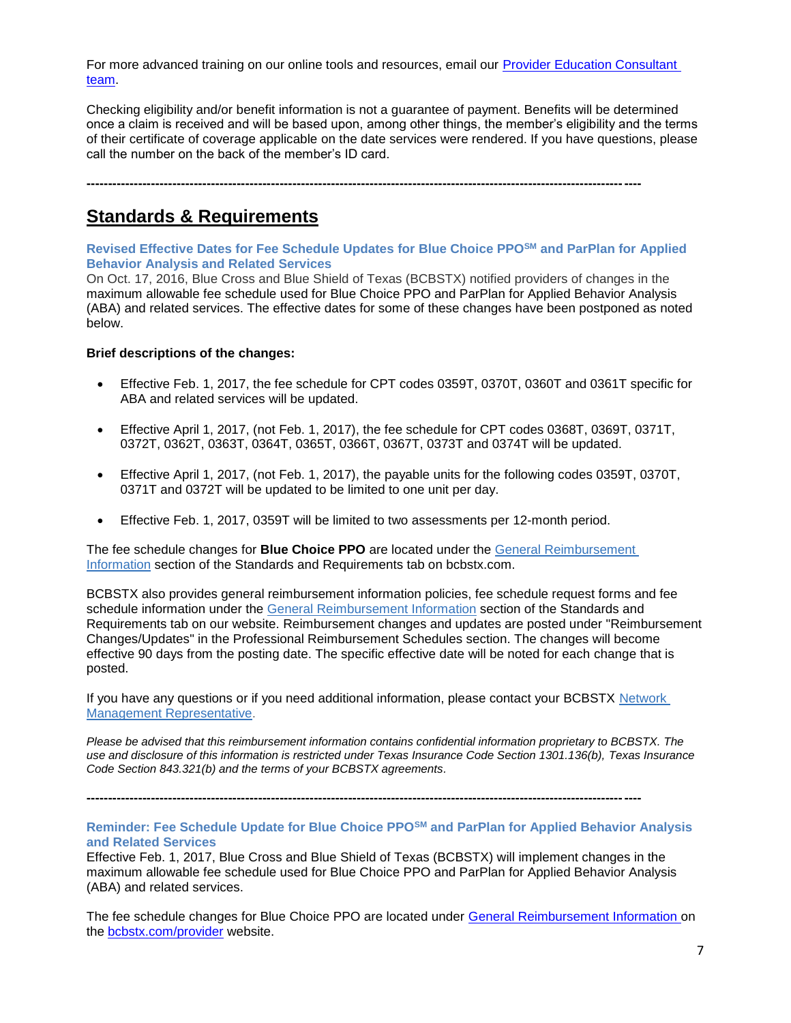For more advanced training on our online tools and resources, email our [Provider Education Consultant](mailto:PECS@bcbstx.com)  [team.](mailto:PECS@bcbstx.com)

Checking eligibility and/or benefit information is not a guarantee of payment. Benefits will be determined once a claim is received and will be based upon, among other things, the member's eligibility and the terms of their certificate of coverage applicable on the date services were rendered. If you have questions, please call the number on the back of the member's ID card.

**---------------------------------------------------------------------------------------------------------------------------------**

# **Standards & Requirements**

**Revised Effective Dates for Fee Schedule Updates for Blue Choice PPOSM and ParPlan for Applied Behavior Analysis and Related Services**

On Oct. 17, 2016, Blue Cross and Blue Shield of Texas (BCBSTX) notified providers of changes in the maximum allowable fee schedule used for Blue Choice PPO and ParPlan for Applied Behavior Analysis (ABA) and related services. The effective dates for some of these changes have been postponed as noted below.

#### **Brief descriptions of the changes:**

- Effective Feb. 1, 2017, the fee schedule for CPT codes 0359T, 0370T, 0360T and 0361T specific for ABA and related services will be updated.
- Effective April 1, 2017, (not Feb. 1, 2017), the fee schedule for CPT codes 0368T, 0369T, 0371T, 0372T, 0362T, 0363T, 0364T, 0365T, 0366T, 0367T, 0373T and 0374T will be updated.
- Effective April 1, 2017, (not Feb. 1, 2017), the payable units for the following codes 0359T, 0370T, 0371T and 0372T will be updated to be limited to one unit per day.
- Effective Feb. 1, 2017, 0359T will be limited to two assessments per 12-month period.

The fee schedule changes for **Blue Choice PPO** are located under the [General Reimbursement](https://www.bcbstx.com/provider/gri/index.html)  [Information](https://www.bcbstx.com/provider/gri/index.html) section of the Standards and Requirements tab on bcbstx.com.

BCBSTX also provides general reimbursement information policies, fee schedule request forms and fee schedule information under the [General Reimbursement Information](https://www.bcbstx.com/provider/gri/index.html) section of the Standards and Requirements tab on our website. Reimbursement changes and updates are posted under "Reimbursement Changes/Updates" in the Professional Reimbursement Schedules section. The changes will become effective 90 days from the posting date. The specific effective date will be noted for each change that is posted.

If you have any questions or if you need additional information, please contact your BCBSTX [Network](https://www.bcbstx.com/provider/contact_us.html#localnetwork)  [Management Representative.](https://www.bcbstx.com/provider/contact_us.html#localnetwork)

**---------------------------------------------------------------------------------------------------------------------------------**

*Please be advised that this reimbursement information contains confidential information proprietary to BCBSTX. The use and disclosure of this information is restricted under Texas Insurance Code Section 1301.136(b), Texas Insurance Code Section 843.321(b) and the terms of your BCBSTX agreements.*

**Reminder: Fee Schedule Update for Blue Choice PPOSM and ParPlan for Applied Behavior Analysis and Related Services**

Effective Feb. 1, 2017, Blue Cross and Blue Shield of Texas (BCBSTX) will implement changes in the maximum allowable fee schedule used for Blue Choice PPO and ParPlan for Applied Behavior Analysis (ABA) and related services.

The fee schedule changes for Blue Choice PPO are located under [General Reimbursement Information](http://www.bcbstx.com/provider/gri/index.html) on the [bcbstx.com/provider](http://www.bcbstx.com/provider/) website.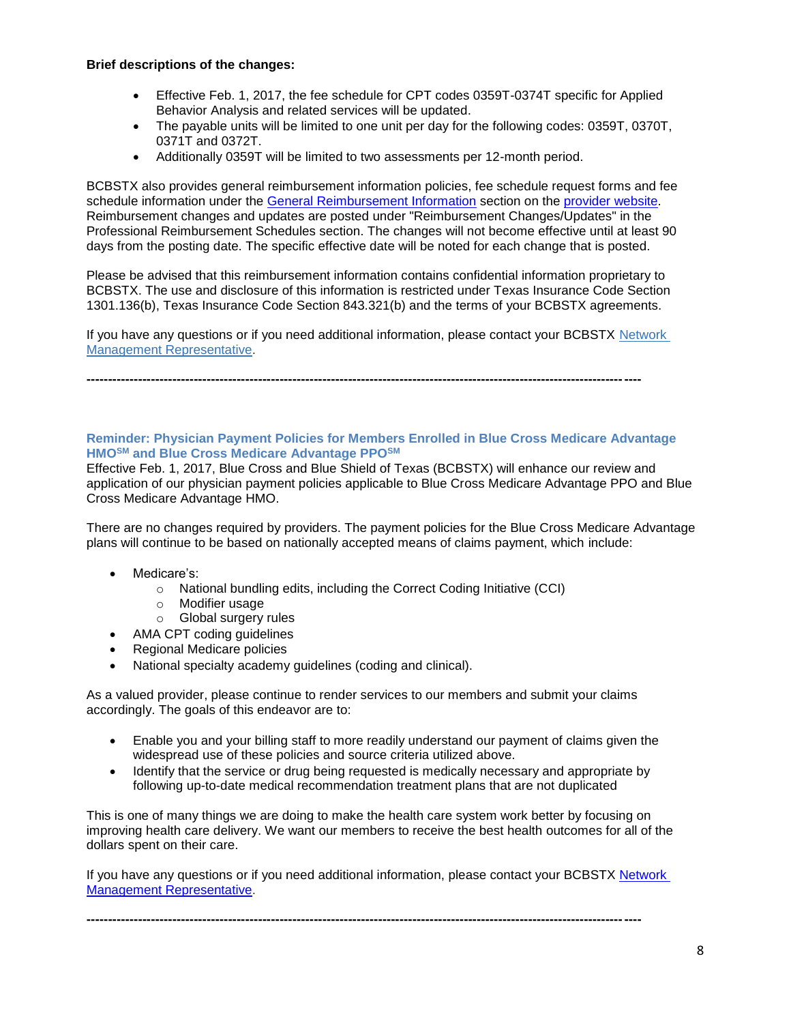### **Brief descriptions of the changes:**

- Effective Feb. 1, 2017, the fee schedule for CPT codes 0359T-0374T specific for Applied Behavior Analysis and related services will be updated.
- The payable units will be limited to one unit per day for the following codes: 0359T, 0370T, 0371T and 0372T.
- Additionally 0359T will be limited to two assessments per 12-month period.

BCBSTX also provides general reimbursement information policies, fee schedule request forms and fee schedule information under the [General Reimbursement Information](http://www.bcbstx.com/provider/gri/index.html) section on the [provider website.](http://www.bcbstx.com/provider/index.html) Reimbursement changes and updates are posted under "Reimbursement Changes/Updates" in the Professional Reimbursement Schedules section. The changes will not become effective until at least 90 days from the posting date. The specific effective date will be noted for each change that is posted.

Please be advised that this reimbursement information contains confidential information proprietary to BCBSTX. The use and disclosure of this information is restricted under Texas Insurance Code Section 1301.136(b), Texas Insurance Code Section 843.321(b) and the terms of your BCBSTX agreements.

If you have any questions or if you need additional information, please contact your BCBSTX [Network](http://www.bcbstx.com/provider/contact_us.html)  [Management Representative.](http://www.bcbstx.com/provider/contact_us.html)

**---------------------------------------------------------------------------------------------------------------------------------**

### **Reminder: Physician Payment Policies for Members Enrolled in Blue Cross Medicare Advantage HMOSM and Blue Cross Medicare Advantage PPOSM**

Effective Feb. 1, 2017, Blue Cross and Blue Shield of Texas (BCBSTX) will enhance our review and application of our physician payment policies applicable to Blue Cross Medicare Advantage PPO and Blue Cross Medicare Advantage HMO.

There are no changes required by providers. The payment policies for the Blue Cross Medicare Advantage plans will continue to be based on nationally accepted means of claims payment, which include:

- Medicare's:
	- o National bundling edits, including the Correct Coding Initiative (CCI)
	- o Modifier usage
	- o Global surgery rules
	- AMA CPT coding guidelines
- Regional Medicare policies
- National specialty academy guidelines (coding and clinical).

As a valued provider, please continue to render services to our members and submit your claims accordingly. The goals of this endeavor are to:

- Enable you and your billing staff to more readily understand our payment of claims given the widespread use of these policies and source criteria utilized above.
- Identify that the service or drug being requested is medically necessary and appropriate by following up-to-date medical recommendation treatment plans that are not duplicated

This is one of many things we are doing to make the health care system work better by focusing on improving health care delivery. We want our members to receive the best health outcomes for all of the dollars spent on their care.

If you have any questions or if you need additional information, please contact your BCBSTX [Network](http://www.bcbstx.com/provider/contact_us.html)  [Management Representative.](http://www.bcbstx.com/provider/contact_us.html)

**---------------------------------------------------------------------------------------------------------------------------------**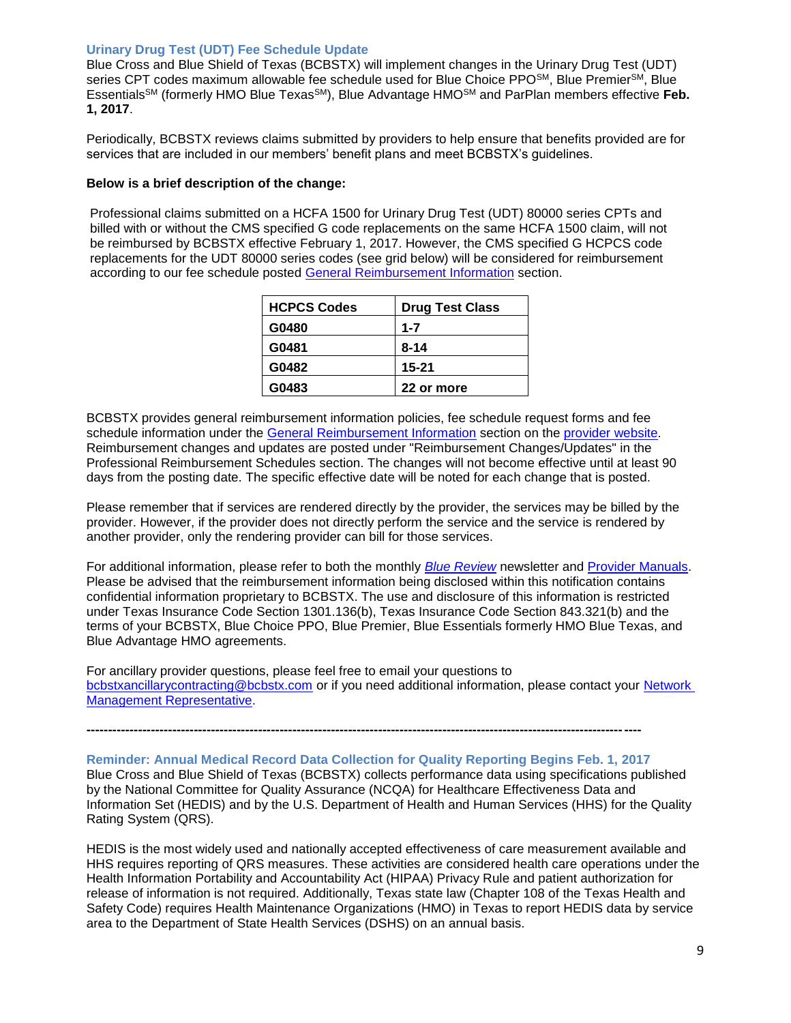### **Urinary Drug Test (UDT) Fee Schedule Update**

Blue Cross and Blue Shield of Texas (BCBSTX) will implement changes in the Urinary Drug Test (UDT) series CPT codes maximum allowable fee schedule used for Blue Choice PPO<sup>SM</sup>, Blue Premier<sup>SM</sup>, Blue EssentialsSM (formerly HMO Blue TexasSM), Blue Advantage HMOSM and ParPlan members effective **Feb. 1, 2017**.

Periodically, BCBSTX reviews claims submitted by providers to help ensure that benefits provided are for services that are included in our members' benefit plans and meet BCBSTX's guidelines.

#### **Below is a brief description of the change:**

Professional claims submitted on a HCFA 1500 for Urinary Drug Test (UDT) 80000 series CPTs and billed with or without the CMS specified G code replacements on the same HCFA 1500 claim, will not be reimbursed by BCBSTX effective February 1, 2017. However, the CMS specified G HCPCS code replacements for the UDT 80000 series codes (see grid below) will be considered for reimbursement according to our fee schedule posted [General Reimbursement Information](http://www.bcbstx.com/provider/gri/index.html) section.

| <b>HCPCS Codes</b> | <b>Drug Test Class</b> |
|--------------------|------------------------|
| G0480              | $1 - 7$                |
| G0481              | $8 - 14$               |
| G0482              | $15 - 21$              |
| G0483              | 22 or more             |

BCBSTX provides general reimbursement information policies, fee schedule request forms and fee schedule information under the [General Reimbursement Information](http://www.bcbstx.com/provider/gri/index.html) section on the [provider website.](http://www.bcbstx.com/provider/index.html) Reimbursement changes and updates are posted under "Reimbursement Changes/Updates" in the Professional Reimbursement Schedules section. The changes will not become effective until at least 90 days from the posting date. The specific effective date will be noted for each change that is posted.

Please remember that if services are rendered directly by the provider, the services may be billed by the provider. However, if the provider does not directly perform the service and the service is rendered by another provider, only the rendering provider can bill for those services.

For additional information, please refer to both the monthly *[Blue Review](http://www.bcbstx.com/provider/news/bluereview.html)* newsletter and [Provider Manuals.](http://www.bcbstx.com/provider/gri/index.html) Please be advised that the reimbursement information being disclosed within this notification contains confidential information proprietary to BCBSTX. The use and disclosure of this information is restricted under Texas Insurance Code Section 1301.136(b), Texas Insurance Code Section 843.321(b) and the terms of your BCBSTX, Blue Choice PPO, Blue Premier, Blue Essentials formerly HMO Blue Texas, and Blue Advantage HMO agreements.

For ancillary provider questions, please feel free to email your questions to [bcbstxancillarycontracting@bcbstx.com](mailto:bcbstxancillarycontracting@bcbstx.com) or if you need additional information, please contact your [Network](http://www.bcbstx.com/provider/contact_us.html)  [Management Representative.](http://www.bcbstx.com/provider/contact_us.html)

**---------------------------------------------------------------------------------------------------------------------------------**

**Reminder: Annual Medical Record Data Collection for Quality Reporting Begins Feb. 1, 2017** Blue Cross and Blue Shield of Texas (BCBSTX) collects performance data using specifications published by the National Committee for Quality Assurance (NCQA) for Healthcare Effectiveness Data and Information Set (HEDIS) and by the U.S. Department of Health and Human Services (HHS) for the Quality Rating System (QRS).

HEDIS is the most widely used and nationally accepted effectiveness of care measurement available and HHS requires reporting of QRS measures. These activities are considered health care operations under the Health Information Portability and Accountability Act (HIPAA) Privacy Rule and patient authorization for release of information is not required. Additionally, Texas state law (Chapter 108 of the Texas Health and Safety Code) requires Health Maintenance Organizations (HMO) in Texas to report HEDIS data by service area to the Department of State Health Services (DSHS) on an annual basis.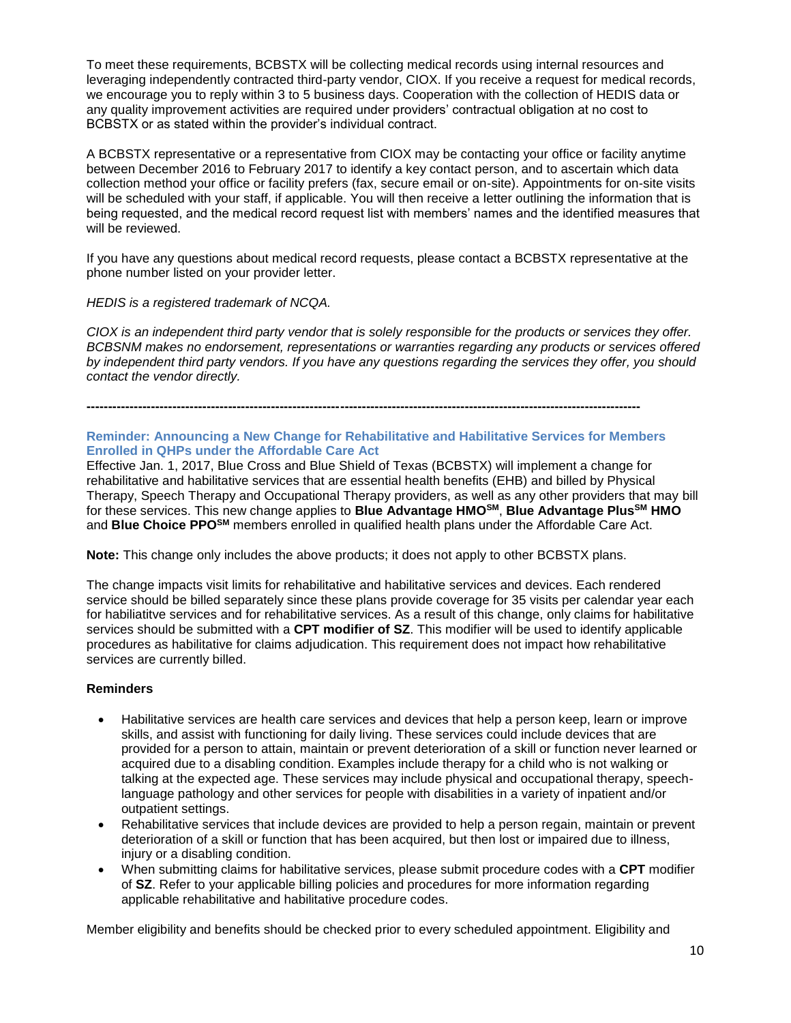To meet these requirements, BCBSTX will be collecting medical records using internal resources and leveraging independently contracted third-party vendor, CIOX. If you receive a request for medical records, we encourage you to reply within 3 to 5 business days. Cooperation with the collection of HEDIS data or any quality improvement activities are required under providers' contractual obligation at no cost to BCBSTX or as stated within the provider's individual contract.

A BCBSTX representative or a representative from CIOX may be contacting your office or facility anytime between December 2016 to February 2017 to identify a key contact person, and to ascertain which data collection method your office or facility prefers (fax, secure email or on-site). Appointments for on-site visits will be scheduled with your staff, if applicable. You will then receive a letter outlining the information that is being requested, and the medical record request list with members' names and the identified measures that will be reviewed.

If you have any questions about medical record requests, please contact a BCBSTX representative at the phone number listed on your provider letter.

### *HEDIS is a registered trademark of NCQA.*

*CIOX is an independent third party vendor that is solely responsible for the products or services they offer. BCBSNM makes no endorsement, representations or warranties regarding any products or services offered by independent third party vendors. If you have any questions regarding the services they offer, you should contact the vendor directly.*

# **---------------------------------------------------------------------------------------------------------------------------------**

### **Reminder: Announcing a New Change for Rehabilitative and Habilitative Services for Members Enrolled in QHPs under the Affordable Care Act**

Effective Jan. 1, 2017, Blue Cross and Blue Shield of Texas (BCBSTX) will implement a change for rehabilitative and habilitative services that are essential health benefits (EHB) and billed by Physical Therapy, Speech Therapy and Occupational Therapy providers, as well as any other providers that may bill for these services. This new change applies to **Blue Advantage HMOSM**, **Blue Advantage PlusSM HMO**  and **Blue Choice PPOSM** members enrolled in qualified health plans under the Affordable Care Act.

**Note:** This change only includes the above products; it does not apply to other BCBSTX plans.

The change impacts visit limits for rehabilitative and habilitative services and devices. Each rendered service should be billed separately since these plans provide coverage for 35 visits per calendar year each for habiliatitve services and for rehabilitative services. As a result of this change, only claims for habilitative services should be submitted with a **CPT modifier of SZ**. This modifier will be used to identify applicable procedures as habilitative for claims adjudication. This requirement does not impact how rehabilitative services are currently billed.

#### **Reminders**

- Habilitative services are health care services and devices that help a person keep, learn or improve skills, and assist with functioning for daily living. These services could include devices that are provided for a person to attain, maintain or prevent deterioration of a skill or function never learned or acquired due to a disabling condition. Examples include therapy for a child who is not walking or talking at the expected age. These services may include physical and occupational therapy, speechlanguage pathology and other services for people with disabilities in a variety of inpatient and/or outpatient settings.
- Rehabilitative services that include devices are provided to help a person regain, maintain or prevent deterioration of a skill or function that has been acquired, but then lost or impaired due to illness, injury or a disabling condition.
- When submitting claims for habilitative services, please submit procedure codes with a **CPT** modifier of **SZ**. Refer to your applicable billing policies and procedures for more information regarding applicable rehabilitative and habilitative procedure codes.

Member eligibility and benefits should be checked prior to every scheduled appointment. Eligibility and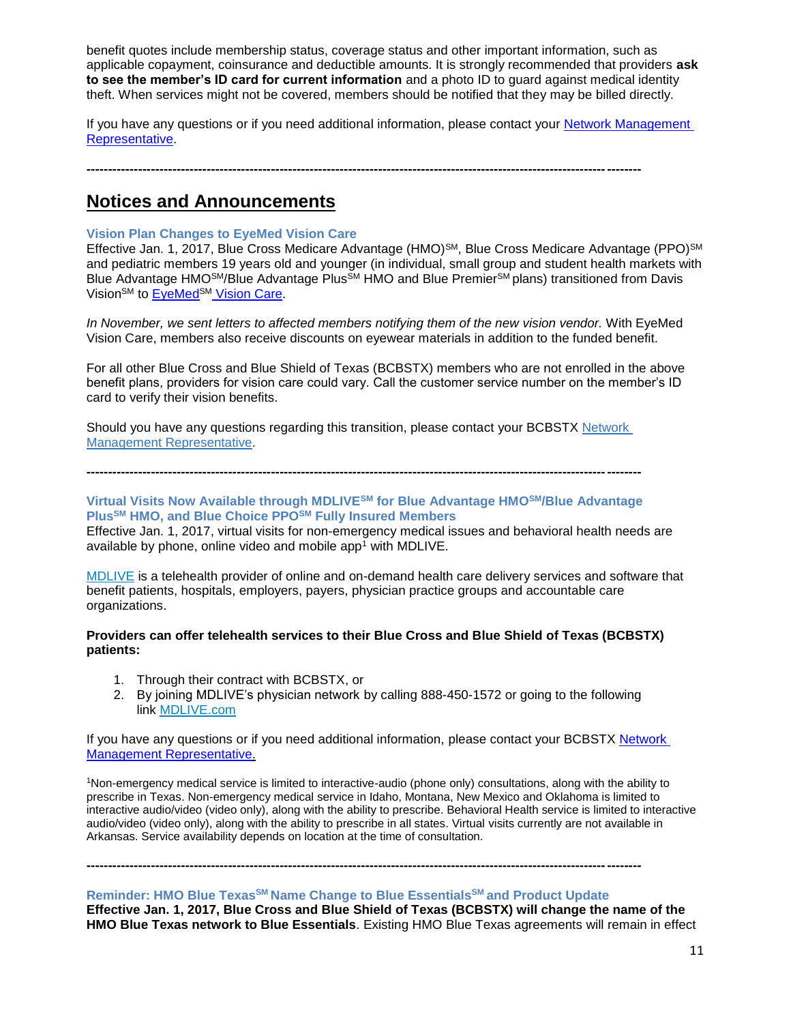benefit quotes include membership status, coverage status and other important information, such as applicable copayment, coinsurance and deductible amounts. It is strongly recommended that providers **ask to see the member's ID card for current information** and a photo ID to guard against medical identity theft. When services might not be covered, members should be notified that they may be billed directly.

If you have any questions or if you need additional information, please contact your [Network Management](http://www.bcbstx.com/provider/contact_us.html)  [Representative.](http://www.bcbstx.com/provider/contact_us.html) 

**---------------------------------------------------------------------------------------------------------------------------------**

**Notices and Announcements**

# **Vision Plan Changes to EyeMed Vision Care**

Effective Jan. 1, 2017, Blue Cross Medicare Advantage (HMO)<sup>SM</sup>, Blue Cross Medicare Advantage (PPO)<sup>SM</sup> and pediatric members 19 years old and younger (in individual, small group and student health markets with Blue Advantage HMO<sup>SM</sup>/Blue Advantage Plus<sup>SM</sup> HMO and Blue Premier<sup>SM</sup> plans) transitioned from Davis Vision<sup>SM</sup> to EyeMed<sup>SM</sup> [Vision Care.](http://www.eyemedvisioncare.com/)

*In November, we sent letters to affected members notifying them of the new vision vendor.* With EyeMed Vision Care, members also receive discounts on eyewear materials in addition to the funded benefit.

For all other Blue Cross and Blue Shield of Texas (BCBSTX) members who are not enrolled in the above benefit plans, providers for vision care could vary. Call the customer service number on the member's ID card to verify their vision benefits.

Should you have any questions regarding this transition, please contact your BCBSTX [Network](https://www.bcbstx.com/provider/contact_us.html#localnetwork)  [Management Representative.](https://www.bcbstx.com/provider/contact_us.html#localnetwork)

**---------------------------------------------------------------------------------------------------------------------------------**

# **Virtual Visits Now Available through MDLIVESM for Blue Advantage HMOSM/Blue Advantage PlusSM HMO, and Blue Choice PPOSM Fully Insured Members**

Effective Jan. 1, 2017, virtual visits for non-emergency medical issues and behavioral health needs are available by phone, online video and mobile app<sup>1</sup> with MDLIVE.

[MDLIVE](https://welcome.mdlive.com/) is a telehealth provider of online and on-demand health care delivery services and software that benefit patients, hospitals, employers, payers, physician practice groups and accountable care organizations.

# **Providers can offer telehealth services to their Blue Cross and Blue Shield of Texas (BCBSTX) patients:**

- 1. Through their contract with BCBSTX, or
- 2. By joining MDLIVE's physician network by calling 888-450-1572 or going to the following link [MDLIVE.com](https://welcome.mdlive.com/)

If you have any questions or if you need additional information, please contact your BCBSTX [Network](http://www.bcbstx.com/provider/contact_us.html) Management [Representative.](http://www.bcbstx.com/provider/contact_us.html)

<sup>1</sup>Non-emergency medical service is limited to interactive-audio (phone only) consultations, along with the ability to prescribe in Texas. Non-emergency medical service in Idaho, Montana, New Mexico and Oklahoma is limited to interactive audio/video (video only), along with the ability to prescribe. Behavioral Health service is limited to interactive audio/video (video only), along with the ability to prescribe in all states. Virtual visits currently are not available in Arkansas. Service availability depends on location at the time of consultation.

# **Reminder: HMO Blue TexasSM Name Change to Blue EssentialsSM and Product Update**

**---------------------------------------------------------------------------------------------------------------------------------**

**Effective Jan. 1, 2017, Blue Cross and Blue Shield of Texas (BCBSTX) will change the name of the HMO Blue Texas network to Blue Essentials**. Existing HMO Blue Texas agreements will remain in effect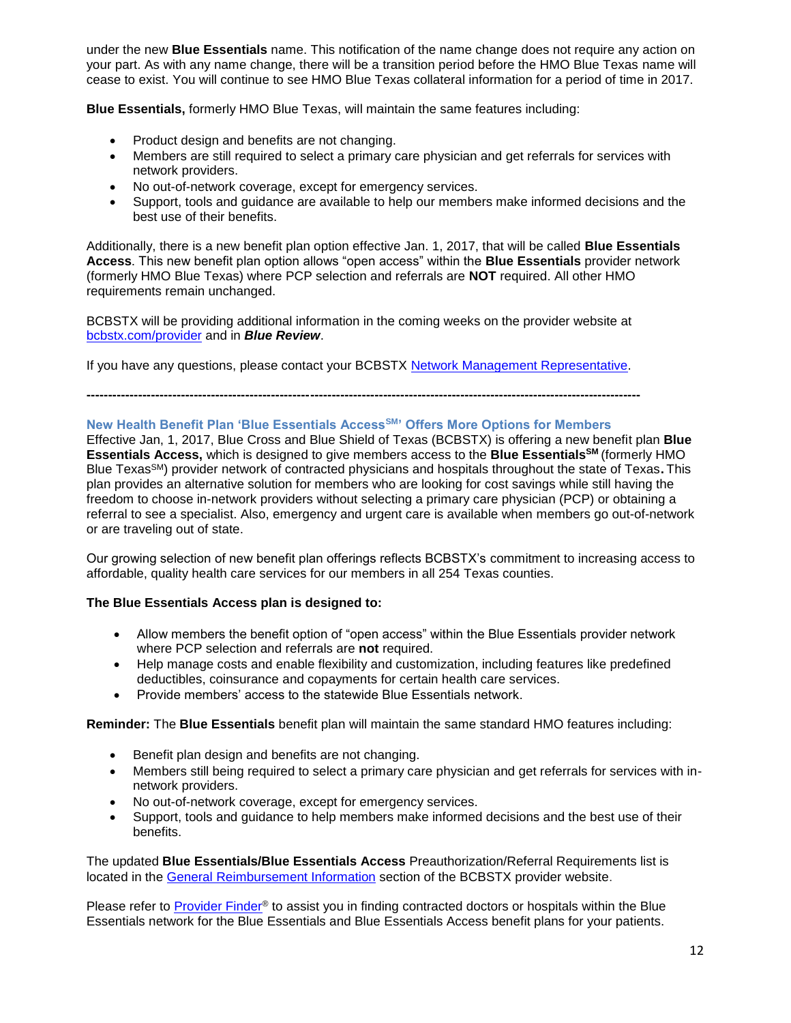under the new **Blue Essentials** name. This notification of the name change does not require any action on your part. As with any name change, there will be a transition period before the HMO Blue Texas name will cease to exist. You will continue to see HMO Blue Texas collateral information for a period of time in 2017.

**Blue Essentials,** formerly HMO Blue Texas, will maintain the same features including:

- Product design and benefits are not changing.
- Members are still required to select a primary care physician and get referrals for services with network providers.
- No out-of-network coverage, except for emergency services.
- Support, tools and guidance are available to help our members make informed decisions and the best use of their benefits.

Additionally, there is a new benefit plan option effective Jan. 1, 2017, that will be called **Blue Essentials Access**. This new benefit plan option allows "open access" within the **Blue Essentials** provider network (formerly HMO Blue Texas) where PCP selection and referrals are **NOT** required. All other HMO requirements remain unchanged.

BCBSTX will be providing additional information in the coming weeks on the provider website at [bcbstx.com/provider](http://www.bcbstx.com/provider/) and in *Blue Review*.

If you have any questions, please contact your BCBSTX [Network Management Representative.](http://www.bcbstx.com/provider/contact_us.html)

**---------------------------------------------------------------------------------------------------------------------------------**

# **New Health Benefit Plan 'Blue Essentials AccessSM' Offers More Options for Members**

Effective Jan, 1, 2017, Blue Cross and Blue Shield of Texas (BCBSTX) is offering a new benefit plan **Blue Essentials Access,** which is designed to give members access to the **Blue EssentialsSM** (formerly HMO Blue TexasSM) provider network of contracted physicians and hospitals throughout the state of Texas**.** This plan provides an alternative solution for members who are looking for cost savings while still having the freedom to choose in-network providers without selecting a primary care physician (PCP) or obtaining a referral to see a specialist. Also, emergency and urgent care is available when members go out-of-network or are traveling out of state.

Our growing selection of new benefit plan offerings reflects BCBSTX's commitment to increasing access to affordable, quality health care services for our members in all 254 Texas counties.

#### **The Blue Essentials Access plan is designed to:**

- Allow members the benefit option of "open access" within the Blue Essentials provider network where PCP selection and referrals are **not** required.
- Help manage costs and enable flexibility and customization, including features like predefined deductibles, coinsurance and copayments for certain health care services.
- Provide members' access to the statewide Blue Essentials network.

### **Reminder:** The **Blue Essentials** benefit plan will maintain the same standard HMO features including:

- Benefit plan design and benefits are not changing.
- Members still being required to select a primary care physician and get referrals for services with innetwork providers.
- No out-of-network coverage, except for emergency services.
- Support, tools and guidance to help members make informed decisions and the best use of their benefits.

The updated **Blue Essentials/Blue Essentials Access** Preauthorization/Referral Requirements list is located in the [General Reimbursement Information](http://www.bcbstx.com/provider/gri/index.html) section of the BCBSTX provider website.

Please refer to [Provider Finder](https://public.hcsc.net/providerfinder/search.do?corpEntCd=TX1)<sup>®</sup> to assist you in finding contracted doctors or hospitals within the Blue Essentials network for the Blue Essentials and Blue Essentials Access benefit plans for your patients.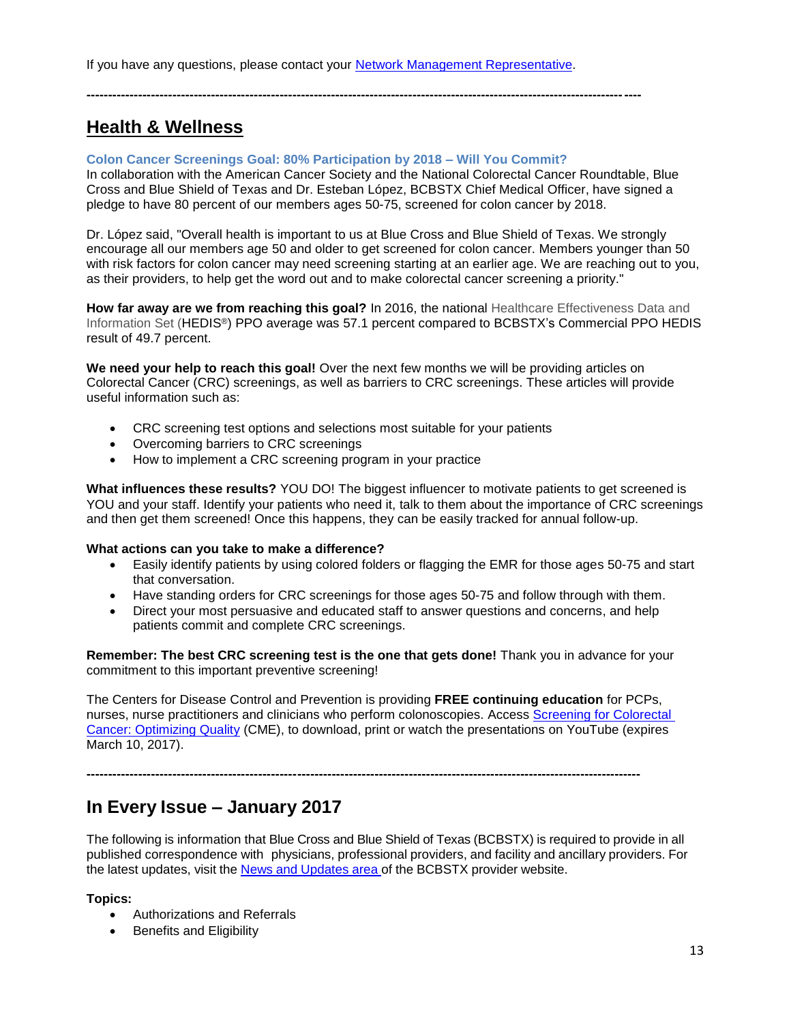If you have any questions, please contact your [Network Management Representative.](http://www.bcbstx.com/provider/contact_us.html#localnetwork)

# **Health & Wellness**

# **Colon Cancer Screenings Goal: 80% Participation by 2018 – Will You Commit?**

In collaboration with the American Cancer Society and the National Colorectal Cancer Roundtable, Blue Cross and Blue Shield of Texas and Dr. Esteban López, BCBSTX Chief Medical Officer, have signed a pledge to have 80 percent of our members ages 50-75, screened for colon cancer by 2018.

**---------------------------------------------------------------------------------------------------------------------------------**

Dr. López said, "Overall health is important to us at Blue Cross and Blue Shield of Texas. We strongly encourage all our members age 50 and older to get screened for colon cancer. Members younger than 50 with risk factors for colon cancer may need screening starting at an earlier age. We are reaching out to you, as their providers, to help get the word out and to make colorectal cancer screening a priority."

**How far away are we from reaching this goal?** In 2016, the national Healthcare Effectiveness Data and Information Set (HEDIS®) PPO average was 57.1 percent compared to BCBSTX's Commercial PPO HEDIS result of 49.7 percent.

**We need your help to reach this goal!** Over the next few months we will be providing articles on Colorectal Cancer (CRC) screenings, as well as barriers to CRC screenings. These articles will provide useful information such as:

- CRC screening test options and selections most suitable for your patients
- Overcoming barriers to CRC screenings
- How to implement a CRC screening program in your practice

**What influences these results?** YOU DO! The biggest influencer to motivate patients to get screened is YOU and your staff. Identify your patients who need it, talk to them about the importance of CRC screenings and then get them screened! Once this happens, they can be easily tracked for annual follow-up.

# **What actions can you take to make a difference?**

- Easily identify patients by using colored folders or flagging the EMR for those ages 50-75 and start that conversation.
- Have standing orders for CRC screenings for those ages 50-75 and follow through with them.
- Direct your most persuasive and educated staff to answer questions and concerns, and help patients commit and complete CRC screenings.

**Remember: The best CRC screening test is the one that gets done!** Thank you in advance for your commitment to this important preventive screening!

The Centers for Disease Control and Prevention is providing **FREE continuing education** for PCPs, nurses, nurse practitioners and clinicians who perform colonoscopies. Access [Screening for Colorectal](http://www.cdc.gov/cancer/colorectal/quality/)  Cancer: [Optimizing Quality](http://www.cdc.gov/cancer/colorectal/quality/) (CME), to download, print or watch the presentations on YouTube (expires March 10, 2017).

**---------------------------------------------------------------------------------------------------------------------------------**

# **In Every Issue – January 2017**

The following is information that Blue Cross and Blue Shield of Texas (BCBSTX) is required to provide in all published correspondence with physicians, professional providers, and facility and ancillary providers. For the latest updates, visit the News and [Updates](http://www.bcbstx.com/provider/news/index.html) area of the BCBSTX provider website.

# **Topics:**

- Authorizations and Referrals
- Benefits and Eligibility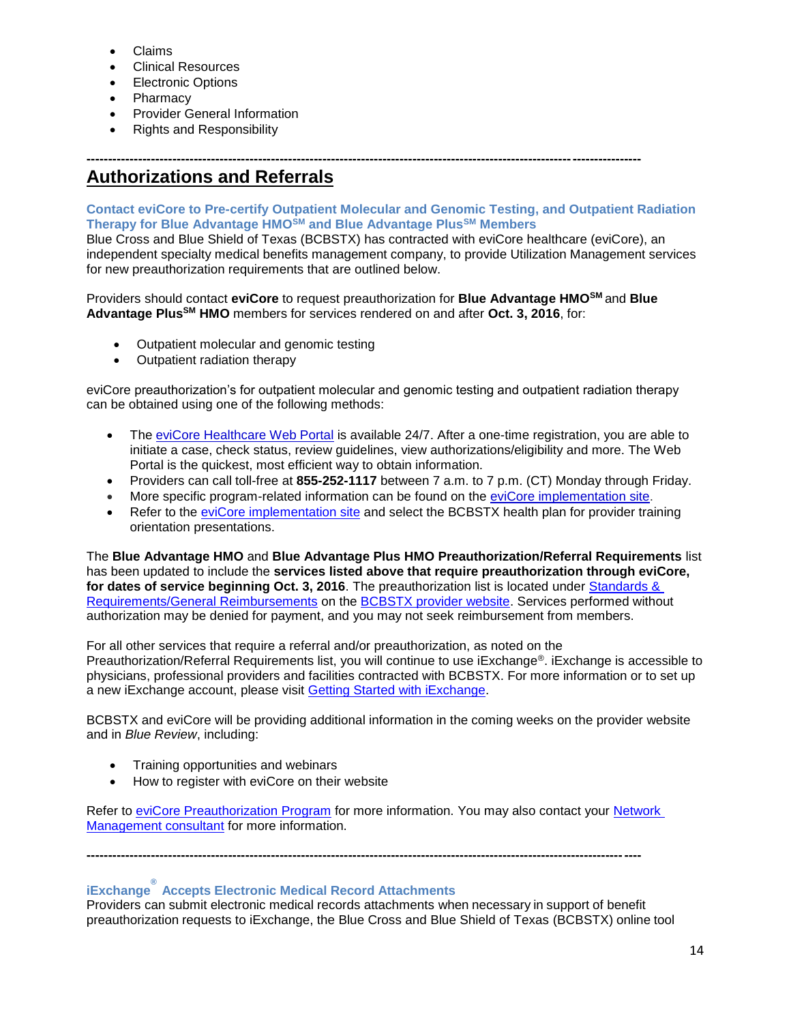- Claims
- Clinical Resources
- Electronic Options
- **Pharmacy**
- Provider General Information
- Rights and Responsibility

# **--------------------------------------------------------------------------------------------------------------------------------- Authorizations and Referrals**

# **Contact eviCore to Pre-certify Outpatient Molecular and Genomic Testing, and Outpatient Radiation Therapy for Blue Advantage HMOSM and Blue Advantage PlusSM Members**

Blue Cross and Blue Shield of Texas (BCBSTX) has contracted with eviCore healthcare (eviCore), an independent specialty medical benefits management company, to provide Utilization Management services for new preauthorization requirements that are outlined below.

Providers should contact **eviCore** to request preauthorization for **Blue Advantage HMOSM** and **Blue Advantage PlusSM HMO** members for services rendered on and after **Oct. 3, 2016**, for:

- Outpatient molecular and genomic testing
- Outpatient radiation therapy

eviCore preauthorization's for outpatient molecular and genomic testing and outpatient radiation therapy can be obtained using one of the following methods:

- The [eviCore Healthcare Web Portal](http://www.evicore.com/) is available 24/7. After a one-time registration, you are able to initiate a case, check status, review guidelines, view authorizations/eligibility and more. The Web Portal is the quickest, most efficient way to obtain information.
- Providers can call toll-free at **855-252-1117** between 7 a.m. to 7 p.m. (CT) Monday through Friday.
- More specific program-related information can be found on the [eviCore implementation site.](https://www.carecorenational.com/page/bcbs-implementations.aspx)
- Refer to the [eviCore implementation site](https://www.carecorenational.com/page/bcbs-implementations.aspx) and select the BCBSTX health plan for provider training orientation presentations.

The **Blue Advantage HMO** and **Blue Advantage Plus HMO Preauthorization/Referral Requirements** list has been updated to include the **services listed above that require preauthorization through eviCore, for dates of service beginning Oct. 3, 2016**. The preauthorization list is located under [Standards &](http://www.bcbstx.com/provider/gri/index.html)  [Requirements/General Reimbursements](http://www.bcbstx.com/provider/gri/index.html) on the [BCBSTX provider website.](http://www.bcbstx.com/provider/) Services performed without authorization may be denied for payment, and you may not seek reimbursement from members.

For all other services that require a referral and/or preauthorization, as noted on the Preauthorization/Referral Requirements list, you will continue to use iExchange®. iExchange is accessible to physicians, professional providers and facilities contracted with BCBSTX. For more information or to set up a new iExchange account, please visit [Getting Started with iExchange.](http://www.bcbstx.com/provider/tools/iexchange.html)

BCBSTX and eviCore will be providing additional information in the coming weeks on the provider website and in *Blue Review*, including:

- Training opportunities and webinars
- How to register with eviCore on their website

Refer to [eviCore Preauthorization Program](http://www.bcbstx.com/provider/clinical/evicore.html) for more information. You may also contact your Network [Management consultant](http://www.bcbstx.com/provider/contact_us.html) for more information.

**---------------------------------------------------------------------------------------------------------------------------------**

# **iExchange ® Accepts Electronic Medical Record Attachments**

Providers can submit electronic medical records attachments when necessary in support of benefit preauthorization requests to iExchange, the Blue Cross and Blue Shield of Texas (BCBSTX) online tool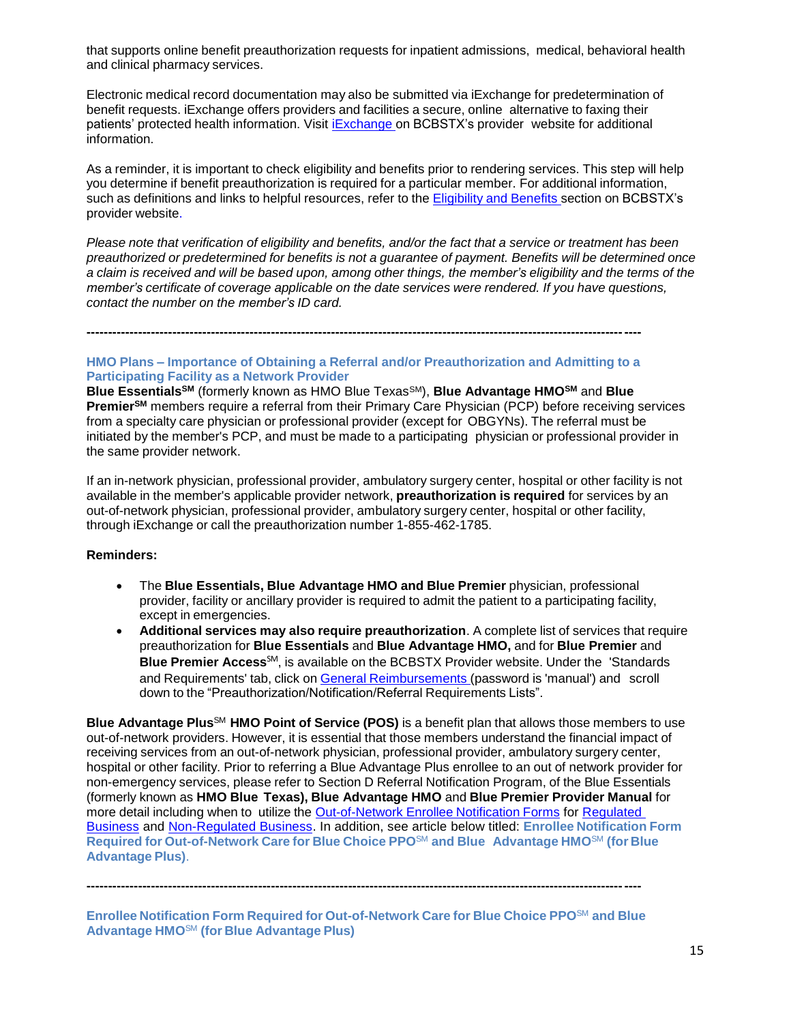that supports online benefit preauthorization requests for inpatient admissions, medical, behavioral health and clinical pharmacy services.

Electronic medical record documentation may also be submitted via iExchange for predetermination of benefit requests. iExchange offers providers and facilities a secure, online alternative to faxing their patients' protected health information. Visit [iExchange](http://www.bcbstx.com/provider/tools/iexchange_index.html) on BCBSTX's provider website for additional information.

As a reminder, it is important to check eligibility and benefits prior to rendering services. This step will help you determine if benefit preauthorization is required for a particular member. For additional information, such as definitions and links to helpful resources, refer to the [Eligibility](http://www.bcbstx.com/provider/claims/eligibility_and_benefits.html) and Benefits secti[on](http://www.bcbstx.com/provider) on BCBSTX's provider website.

Please note that verification of eligibility and benefits, and/or the fact that a service or treatment has been *preauthorized or predetermined for benefits is not a guarantee of payment. Benefits will be determined once* a claim is received and will be based upon, among other things, the member's eligibility and the terms of the *member's certificate of coverage applicable on the date services were rendered. If you have questions, contact the number on the member's ID card.*

**---------------------------------------------------------------------------------------------------------------------------------**

# **HMO Plans – Importance of Obtaining a Referral and/or Preauthorization and Admitting to a Participating Facility as a Network Provider**

**Blue EssentialsSM** (formerly known as HMO Blue TexasSM), **Blue Advantage HMOSM** and **Blue PremierSM** members require a referral from their Primary Care Physician (PCP) before receiving services from a specialty care physician or professional provider (except for OBGYNs). The referral must be initiated by the member's PCP, and must be made to a participating physician or professional provider in the same provider network.

If an in-network physician, professional provider, ambulatory surgery center, hospital or other facility is not available in the member's applicable provider network, **preauthorization is required** for services by an out-of-network physician, professional provider, ambulatory surgery center, hospital or other facility, through iExchange or call the preauthorization number 1-855-462-1785.

#### **Reminders:**

- The **Blue Essentials, Blue Advantage HMO and Blue Premier** physician, professional provider, facility or ancillary provider is required to admit the patient to a participating facility, except in emergencies.
- **Additional services may also require preauthorization**. A complete list of services that require preauthorization for **Blue Essentials** and **Blue Advantage HMO,** and for **Blue Premier** and **Blue Premier Access**SM, is available on the BCBSTX Provider website. Under the 'Standards and Requirements' tab, click on General [Reimbursements](http://www.pages02.net/hcscnosuppression/nlt_br_providers_june_2016_b_ok_060116_in_every_issue/LPT.url?kn=900466&vs=YTVjNjZjMzUtOGRhNi00MDUwLWI1MDAtYTg0NTI3M2JkZmUxOzA6ODk5OTgwMToyMjY0ODg5MjYwNzo5NDAwOTQyMjQ6OTQwMDk0MjI0OwS2) (password is 'manual') and scroll down to the "Preauthorization/Notification/Referral Requirements Lists".

**Blue Advantage Plus**SM **HMO Point of Service (POS)** is a benefit plan that allows those members to use out-of-network providers. However, it is essential that those members understand the financial impact of receiving services from an out-of-network physician, professional provider, ambulatory surgery center, hospital or other facility. Prior to referring a Blue Advantage Plus enrollee to an out of network provider for non-emergency services, please refer to Section D Referral Notification Program, of the Blue Essentials (formerly known as **HMO Blue Texas), Blue Advantage HMO** and **Blue Premier Provider Manual** for more detail including when to utilize the Out-of-Network Enrollee Notification Forms for [Regulated](http://www.bcbstx.com/provider/pdf/out-of-network-care-enrollee-notification-form.pdf)  [Business](http://www.bcbstx.com/provider/pdf/out-of-network-care-enrollee-notification-form.pdf) and [Non-Regulated Business.](http://www.bcbstx.com/provider/pdf/out-of-network-care-enrollee-notification-form-nr.pdf) In addition, see article below titled: **Enrollee Notification Form Required for Out-of-Network Care for Blue Choice PPO**SM **and Blue Advantage HMO**SM **(for Blue Advantage Plus)**.

**Enrollee Notification Form Required for Out-of-Network Care for Blue Choice PPO**SM **and Blue Advantage HMO**SM **(for Blue Advantage Plus)**

**---------------------------------------------------------------------------------------------------------------------------------**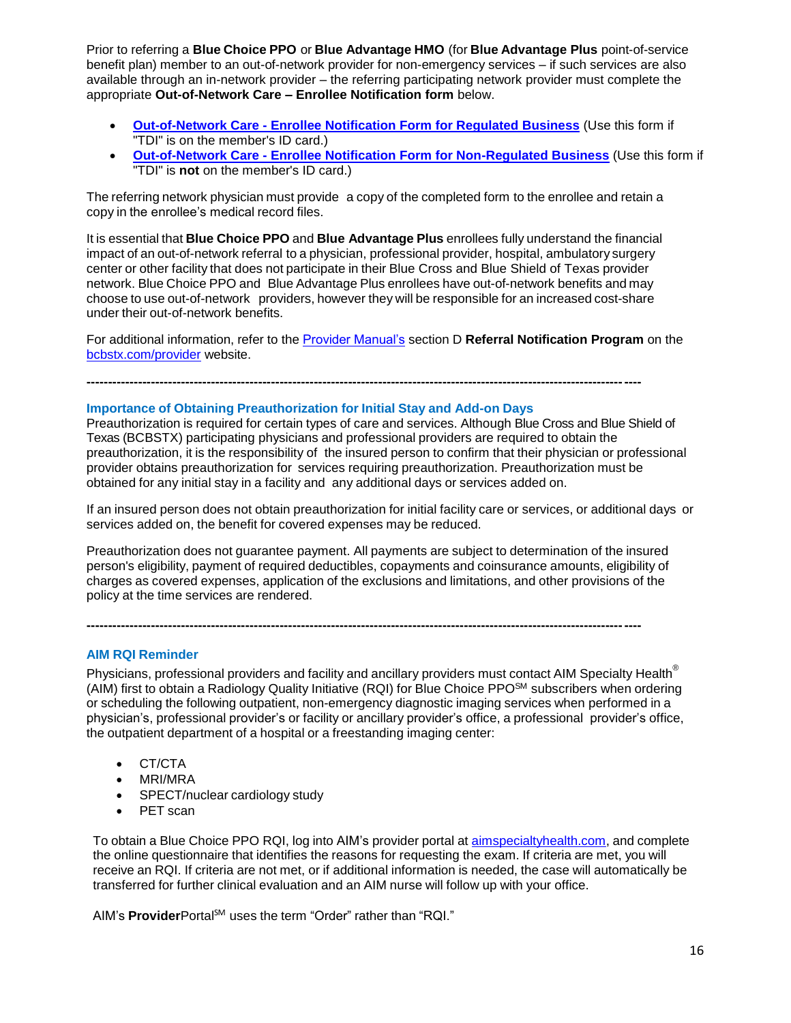Prior to referring a **Blue Choice PPO** or **Blue Advantage HMO** (for **Blue Advantage Plus** point-of-service benefit plan) member to an out-of-network provider for non-emergency services – if such services are also available through an in-network provider – the referring participating network provider must complete the appropriate **Out-of-Network Care – Enrollee Notification form** below.

- **Out-of-Network Care - [Enrollee Notification Form for Regulated Business](http://www.bcbstx.com/provider/pdf/out-of-network-care-enrollee-notification-form.pdf)** (Use this form if "TDI" is on the member's ID card.)
- **Out-of-Network Care - [Enrollee Notification Form for Non-Regulated Business](http://www.bcbstx.com/provider/pdf/out-of-network-care-enrollee-notification-form-nr.pdf)** (Use this form if "TDI" is **not** on the member's ID card.)

The referring network physician must provide a copy of the completed form to the enrollee and retain a copy in the enrollee's medical record files.

It is essential that **Blue Choice PPO** and **Blue Advantage Plus** enrollees fully understand the financial impact of an out-of-network referral to a physician, professional provider, hospital, ambulatory surgery center or other facility that does not participate in their Blue Cross and Blue Shield of Texas provider network. Blue Choice PPO and Blue Advantage Plus enrollees have out-of-network benefits and may choose to use out-of-network providers, however they will be responsible for an increased cost-share under their out-of-network benefits.

For additional information, refer to the [Provider Manual's](http://www.bcbstx.com/provider/gri/index.html) section D **Referral Notification Program** on the [bcbstx.com/provider](http://www.bcbstx.com/provider/index.html) website.

**---------------------------------------------------------------------------------------------------------------------------------**

#### **Importance of Obtaining Preauthorization for Initial Stay and Add-on Days**

Preauthorization is required for certain types of care and services. Although Blue Cross and Blue Shield of Texas (BCBSTX) participating physicians and professional providers are required to obtain the preauthorization, it is the responsibility of the insured person to confirm that their physician or professional provider obtains preauthorization for services requiring preauthorization. Preauthorization must be obtained for any initial stay in a facility and any additional days or services added on.

If an insured person does not obtain preauthorization for initial facility care or services, or additional days or services added on, the benefit for covered expenses may be reduced.

Preauthorization does not guarantee payment. All payments are subject to determination of the insured person's eligibility, payment of required deductibles, copayments and coinsurance amounts, eligibility of charges as covered expenses, application of the exclusions and limitations, and other provisions of the policy at the time services are rendered.

**---------------------------------------------------------------------------------------------------------------------------------**

#### **AIM RQI Reminder**

Physicians, professional providers and facility and ancillary providers must contact AIM Specialty Health<sup>®</sup> (AIM) first to obtain a Radiology Quality Initiative (RQI) for Blue Choice PPOSM subscribers when ordering or scheduling the following outpatient, non-emergency diagnostic imaging services when performed in a physician's, professional provider's or facility or ancillary provider's office, a professional provider's office, the outpatient department of a hospital or a freestanding imaging center:

- CT/CTA
- MRI/MRA
- SPECT/nuclear cardiology study
- PET scan

To obtain a Blue Choice PPO RQI, log into AIM's provider portal at [aimspecialtyhealth.com,](http://www.pages02.net/hcscnosuppression/nlt_br_providers_june_2016_b_ok_060116_in_every_issue/LPT.url?kn=900480&vs=YTVjNjZjMzUtOGRhNi00MDUwLWI1MDAtYTg0NTI3M2JkZmUxOzA6ODk5OTgwMToyMjY0ODg5MjYwNzo5NDAwOTQyMjQ6OTQwMDk0MjI0OwS2) and complete the online questionnaire that identifies the reasons for requesting the exam. If criteria are met, you will receive an RQI. If criteria are not met, or if additional information is needed, the case will automatically be transferred for further clinical evaluation and an AIM nurse will follow up with your office.

AIM's **Provider**Portal<sup>SM</sup> uses the term "Order" rather than "RQI."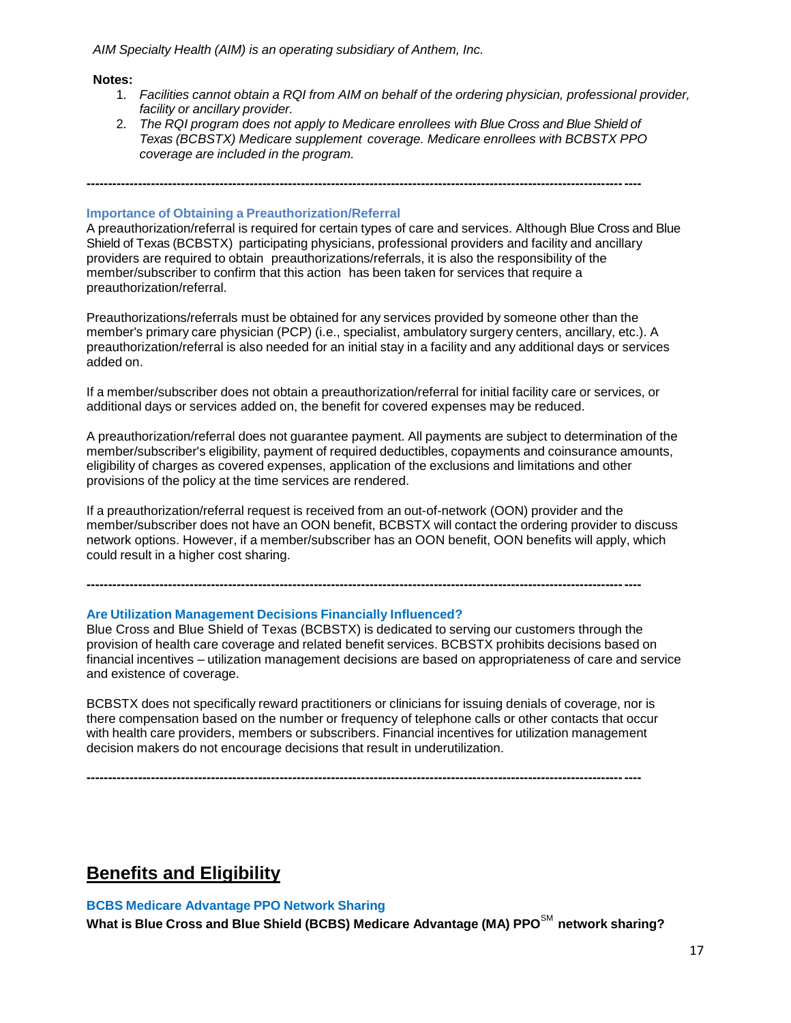*AIM Specialty Health (AIM) is an operating subsidiary of Anthem, Inc.*

#### **Notes:**

- 1. *Facilities cannot obtain a RQI from AIM on behalf of the ordering physician, professional provider, facility or ancillary provider.*
- 2. *The RQI program does not apply to Medicare enrollees with Blue Cross and Blue Shield of Texas (BCBSTX) Medicare supplement coverage. Medicare enrollees with BCBSTX PPO coverage are included in the program.*

**---------------------------------------------------------------------------------------------------------------------------------**

# **Importance of Obtaining a Preauthorization/Referral**

A preauthorization/referral is required for certain types of care and services. Although Blue Cross and Blue Shield of Texas (BCBSTX) participating physicians, professional providers and facility and ancillary providers are required to obtain preauthorizations/referrals, it is also the responsibility of the member/subscriber to confirm that this action has been taken for services that require a preauthorization/referral.

Preauthorizations/referrals must be obtained for any services provided by someone other than the member's primary care physician (PCP) (i.e., specialist, ambulatory surgery centers, ancillary, etc.). A preauthorization/referral is also needed for an initial stay in a facility and any additional days or services added on.

If a member/subscriber does not obtain a preauthorization/referral for initial facility care or services, or additional days or services added on, the benefit for covered expenses may be reduced.

A preauthorization/referral does not guarantee payment. All payments are subject to determination of the member/subscriber's eligibility, payment of required deductibles, copayments and coinsurance amounts, eligibility of charges as covered expenses, application of the exclusions and limitations and other provisions of the policy at the time services are rendered.

If a preauthorization/referral request is received from an out-of-network (OON) provider and the member/subscriber does not have an OON benefit, BCBSTX will contact the ordering provider to discuss network options. However, if a member/subscriber has an OON benefit, OON benefits will apply, which could result in a higher cost sharing.

**---------------------------------------------------------------------------------------------------------------------------------**

#### **Are Utilization Management Decisions Financially Influenced?**

Blue Cross and Blue Shield of Texas (BCBSTX) is dedicated to serving our customers through the provision of health care coverage and related benefit services. BCBSTX prohibits decisions based on financial incentives – utilization management decisions are based on appropriateness of care and service and existence of coverage.

BCBSTX does not specifically reward practitioners or clinicians for issuing denials of coverage, nor is there compensation based on the number or frequency of telephone calls or other contacts that occur with health care providers, members or subscribers. Financial incentives for utilization management decision makers do not encourage decisions that result in underutilization.

**---------------------------------------------------------------------------------------------------------------------------------**

# **Benefits and Eligibility**

#### **BCBS Medicare Advantage PPO Network Sharing**

**What is Blue Cross and Blue Shield (BCBS) Medicare Advantage (MA) PPO**SM **network sharing?**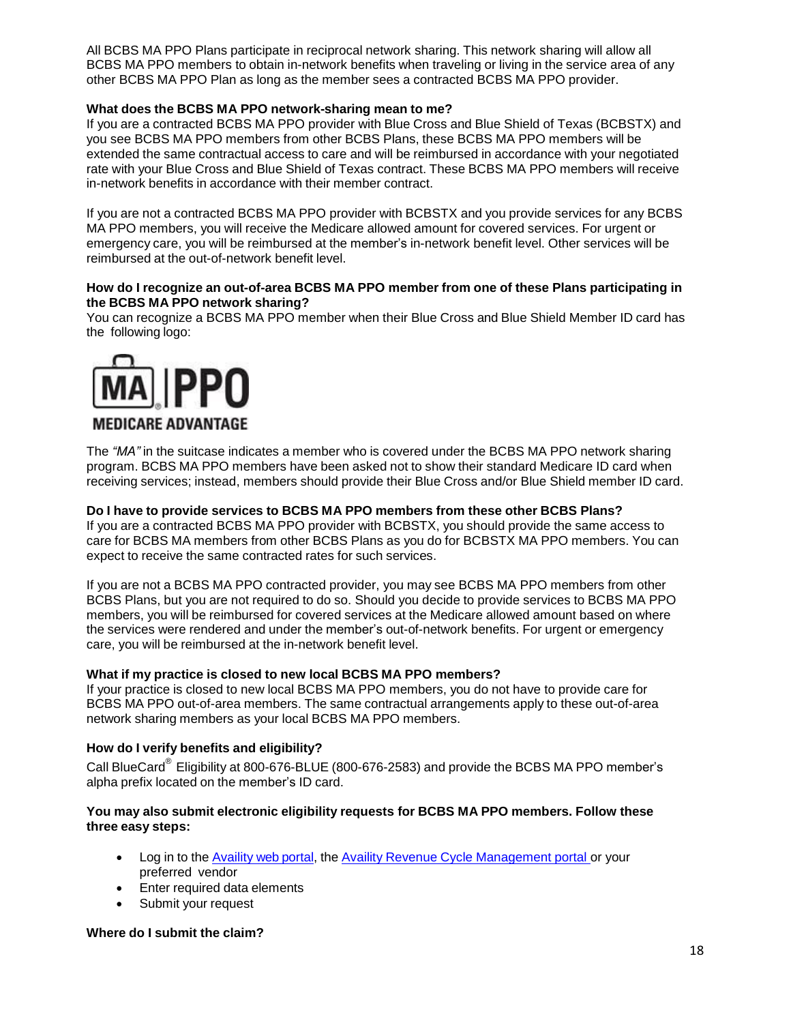All BCBS MA PPO Plans participate in reciprocal network sharing. This network sharing will allow all BCBS MA PPO members to obtain in-network benefits when traveling or living in the service area of any other BCBS MA PPO Plan as long as the member sees a contracted BCBS MA PPO provider.

# **What does the BCBS MA PPO network-sharing mean to me?**

If you are a contracted BCBS MA PPO provider with Blue Cross and Blue Shield of Texas (BCBSTX) and you see BCBS MA PPO members from other BCBS Plans, these BCBS MA PPO members will be extended the same contractual access to care and will be reimbursed in accordance with your negotiated rate with your Blue Cross and Blue Shield of Texas contract. These BCBS MA PPO members will receive in-network benefits in accordance with their member contract.

If you are not a contracted BCBS MA PPO provider with BCBSTX and you provide services for any BCBS MA PPO members, you will receive the Medicare allowed amount for covered services. For urgent or emergency care, you will be reimbursed at the member's in-network benefit level. Other services will be reimbursed at the out-of-network benefit level.

### **How do I recognize an out-of-area BCBS MA PPO member from one of these Plans participating in the BCBS MA PPO network sharing?**

You can recognize a BCBS MA PPO member when their Blue Cross and Blue Shield Member ID card has the following logo:



The *"MA"* in the suitcase indicates a member who is covered under the BCBS MA PPO network sharing program. BCBS MA PPO members have been asked not to show their standard Medicare ID card when receiving services; instead, members should provide their Blue Cross and/or Blue Shield member ID card.

#### **Do I have to provide services to BCBS MA PPO members from these other BCBS Plans?**

If you are a contracted BCBS MA PPO provider with BCBSTX, you should provide the same access to care for BCBS MA members from other BCBS Plans as you do for BCBSTX MA PPO members. You can expect to receive the same contracted rates for such services.

If you are not a BCBS MA PPO contracted provider, you may see BCBS MA PPO members from other BCBS Plans, but you are not required to do so. Should you decide to provide services to BCBS MA PPO members, you will be reimbursed for covered services at the Medicare allowed amount based on where the services were rendered and under the member's out-of-network benefits. For urgent or emergency care, you will be reimbursed at the in-network benefit level.

#### **What if my practice is closed to new local BCBS MA PPO members?**

If your practice is closed to new local BCBS MA PPO members, you do not have to provide care for BCBS MA PPO out-of-area members. The same contractual arrangements apply to these out-of-area network sharing members as your local BCBS MA PPO members.

#### **How do I verify benefits and eligibility?**

Call BlueCard<sup>®</sup> Eligibility at 800-676-BLUE (800-676-2583) and provide the BCBS MA PPO member's alpha prefix located on the member's ID card.

#### **You may also submit electronic eligibility requests for BCBS MA PPO members. Follow these three easy steps:**

- Log in to the Availity [web portal,](http://www.pages02.net/hcscnosuppression/nlt_br_providers_june_2016_b_ok_060116_in_every_issue/LPT.url?kn=900477&vs=YTVjNjZjMzUtOGRhNi00MDUwLWI1MDAtYTg0NTI3M2JkZmUxOzA6ODk5OTgwMToyMjY0ODg5MjYwNzo5NDAwOTQyMjQ6OTQwMDk0MjI0OwS2) the Availity Revenue Cycle [Management](http://www.pages02.net/hcscnosuppression/nlt_br_providers_june_2016_b_ok_060116_in_every_issue/LPT.url?kn=900478&vs=YTVjNjZjMzUtOGRhNi00MDUwLWI1MDAtYTg0NTI3M2JkZmUxOzA6ODk5OTgwMToyMjY0ODg5MjYwNzo5NDAwOTQyMjQ6OTQwMDk0MjI0OwS2) portal or your preferred vendor
- Enter required data elements
- Submit your request

#### **Where do I submit the claim?**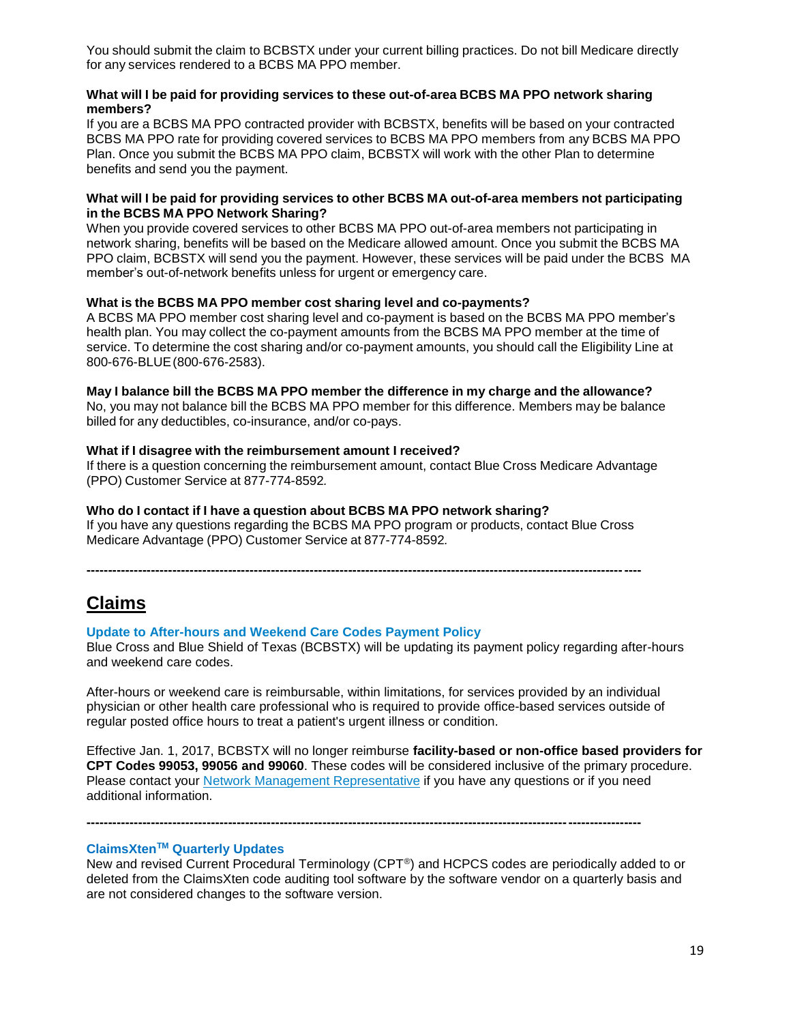You should submit the claim to BCBSTX under your current billing practices. Do not bill Medicare directly for any services rendered to a BCBS MA PPO member.

#### **What will I be paid for providing services to these out-of-area BCBS MA PPO network sharing members?**

If you are a BCBS MA PPO contracted provider with BCBSTX, benefits will be based on your contracted BCBS MA PPO rate for providing covered services to BCBS MA PPO members from any BCBS MA PPO Plan. Once you submit the BCBS MA PPO claim, BCBSTX will work with the other Plan to determine benefits and send you the payment.

#### **What will I be paid for providing services to other BCBS MA out-of-area members not participating in the BCBS MA PPO Network Sharing?**

When you provide covered services to other BCBS MA PPO out-of-area members not participating in network sharing, benefits will be based on the Medicare allowed amount. Once you submit the BCBS MA PPO claim, BCBSTX will send you the payment. However, these services will be paid under the BCBS MA member's out-of-network benefits unless for urgent or emergency care.

### **What is the BCBS MA PPO member cost sharing level and co-payments?**

A BCBS MA PPO member cost sharing level and co-payment is based on the BCBS MA PPO member's health plan. You may collect the co-payment amounts from the BCBS MA PPO member at the time of service. To determine the cost sharing and/or co-payment amounts, you should call the Eligibility Line at 800-676-BLUE(800-676-2583).

#### **May I balance bill the BCBS MA PPO member the difference in my charge and the allowance?**

No, you may not balance bill the BCBS MA PPO member for this difference. Members may be balance billed for any deductibles, co-insurance, and/or co-pays.

#### **What if I disagree with the reimbursement amount I received?**

If there is a question concerning the reimbursement amount, contact Blue Cross Medicare Advantage (PPO) Customer Service at 877-774-8592*.*

#### **Who do I contact if I have a question about BCBS MA PPO network sharing?**

If you have any questions regarding the BCBS MA PPO program or products, contact Blue Cross Medicare Advantage (PPO) Customer Service at 877-774-8592*.*

**---------------------------------------------------------------------------------------------------------------------------------**

# **Claims**

#### **Update to After-hours and Weekend Care Codes Payment Policy**

Blue Cross and Blue Shield of Texas (BCBSTX) will be updating its payment policy regarding after-hours and weekend care codes.

After-hours or weekend care is reimbursable, within limitations, for services provided by an individual physician or other health care professional who is required to provide office-based services outside of regular posted office hours to treat a patient's urgent illness or condition.

Effective Jan. 1, 2017, BCBSTX will no longer reimburse **facility-based or non-office based providers for CPT Codes 99053, 99056 and 99060**. These codes will be considered inclusive of the primary procedure. Please contact your Network Management [Representative](http://www.pages02.net/hcscnosuppression/blue_review_december_2016/LPT.url?kn=958047&vs=MGNjZTk1ZGYtYzI3MC00Yjk2LTg4NzgtMDIyNjkwYzJiZTBlOzA6MTAwMTA0NDc6MTM3MDU0MDE0OTA0OjEwNjA2Njk5NDE6MTA2MDY2OTk0MTsS1) if you have any questions or if you need additional information.

#### **ClaimsXtenTM Quarterly Updates**

New and revised Current Procedural Terminology (CPT®) and HCPCS codes are periodically added to or deleted from the ClaimsXten code auditing tool software by the software vendor on a quarterly basis and are not considered changes to the software version.

**---------------------------------------------------------------------------------------------------------------------------------**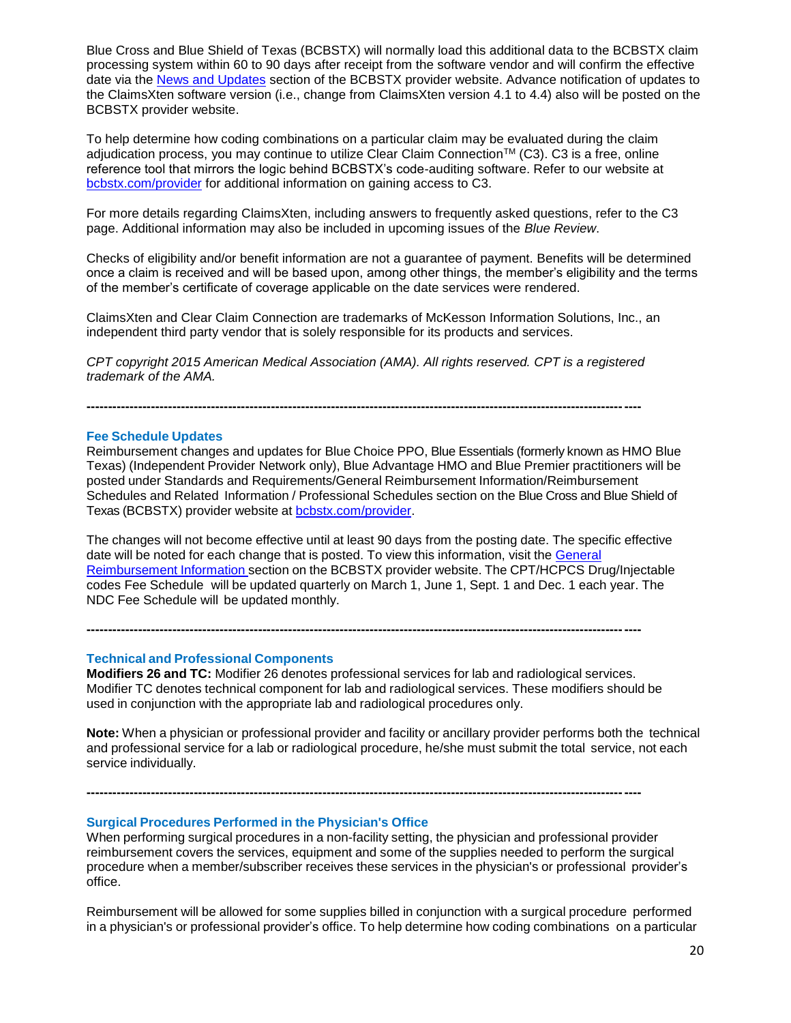Blue Cross and Blue Shield of Texas (BCBSTX) will normally load this additional data to the BCBSTX claim processing system within 60 to 90 days after receipt from the software vendor and will confirm the effective date via the [News and Updates](http://www.bcbstx.com/provider/news/index.html) section of the BCBSTX provider website. Advance notification of updates to the ClaimsXten software version (i.e., change from ClaimsXten version 4.1 to 4.4) also will be posted on the BCBSTX provider website.

To help determine how coding combinations on a particular claim may be evaluated during the claim adjudication process, you may continue to utilize Clear Claim Connection™ (C3). C3 is a free, online reference tool that mirrors the logic behind BCBSTX's code-auditing software. Refer to our website at [bcbstx.com/provider](http://www.bcbstx.com/provider/) for additional information on gaining access to C3.

For more details regarding ClaimsXten, including answers to frequently asked questions, refer to the C3 page. Additional information may also be included in upcoming issues of the *Blue Review*.

Checks of eligibility and/or benefit information are not a guarantee of payment. Benefits will be determined once a claim is received and will be based upon, among other things, the member's eligibility and the terms of the member's certificate of coverage applicable on the date services were rendered.

ClaimsXten and Clear Claim Connection are trademarks of McKesson Information Solutions, Inc., an independent third party vendor that is solely responsible for its products and services.

*CPT copyright 2015 American Medical Association (AMA). All rights reserved. CPT is a registered trademark of the AMA.*

**---------------------------------------------------------------------------------------------------------------------------------**

#### **Fee Schedule Updates**

Reimbursement changes and updates for Blue Choice PPO, Blue Essentials (formerly known as HMO Blue Texas) (Independent Provider Network only), Blue Advantage HMO and Blue Premier practitioners will be posted under Standards and Requirements/General Reimbursement Information/Reimbursement Schedules and Related Information / Professional Schedules section on the Blue Cross and Blue Shield of Texas (BCBSTX) provider website at [bcbstx.com/provider.](http://www.pages02.net/hcscnosuppression/nlt_br_providers_june_2016_b_ok_060116_in_every_issue/LPT.url?kn=900474&vs=YTVjNjZjMzUtOGRhNi00MDUwLWI1MDAtYTg0NTI3M2JkZmUxOzA6ODk5OTgwMToyMjY0ODg5MjYwNzo5NDAwOTQyMjQ6OTQwMDk0MjI0OwS2)

The changes will not become effective until at least 90 days from the posting date. The specific effective date will be noted for each change that is posted. To view this information, visit the [General](http://www.pages02.net/hcscnosuppression/nlt_br_providers_june_2016_b_ok_060116_in_every_issue/LPT.url?kn=900475&vs=YTVjNjZjMzUtOGRhNi00MDUwLWI1MDAtYTg0NTI3M2JkZmUxOzA6ODk5OTgwMToyMjY0ODg5MjYwNzo5NDAwOTQyMjQ6OTQwMDk0MjI0OwS2) [Reimbursement](http://www.pages02.net/hcscnosuppression/nlt_br_providers_june_2016_b_ok_060116_in_every_issue/LPT.url?kn=900475&vs=YTVjNjZjMzUtOGRhNi00MDUwLWI1MDAtYTg0NTI3M2JkZmUxOzA6ODk5OTgwMToyMjY0ODg5MjYwNzo5NDAwOTQyMjQ6OTQwMDk0MjI0OwS2) Information section on the BCBSTX provider website. The CPT/HCPCS Drug/Injectable codes Fee Schedule will be updated quarterly on March 1, June 1, Sept. 1 and Dec. 1 each year. The NDC Fee Schedule will be updated monthly.

**Technical and Professional Components**

**Modifiers 26 and TC:** Modifier 26 denotes professional services for lab and radiological services. Modifier TC denotes technical component for lab and radiological services. These modifiers should be used in conjunction with the appropriate lab and radiological procedures only.

**---------------------------------------------------------------------------------------------------------------------------------**

**---------------------------------------------------------------------------------------------------------------------------------**

**Note:** When a physician or professional provider and facility or ancillary provider performs both the technical and professional service for a lab or radiological procedure, he/she must submit the total service, not each service individually.

**Surgical Procedures Performed in the Physician's Office**

When performing surgical procedures in a non-facility setting, the physician and professional provider reimbursement covers the services, equipment and some of the supplies needed to perform the surgical procedure when a member/subscriber receives these services in the physician's or professional provider's office.

Reimbursement will be allowed for some supplies billed in conjunction with a surgical procedure performed in a physician's or professional provider's office. To help determine how coding combinations on a particular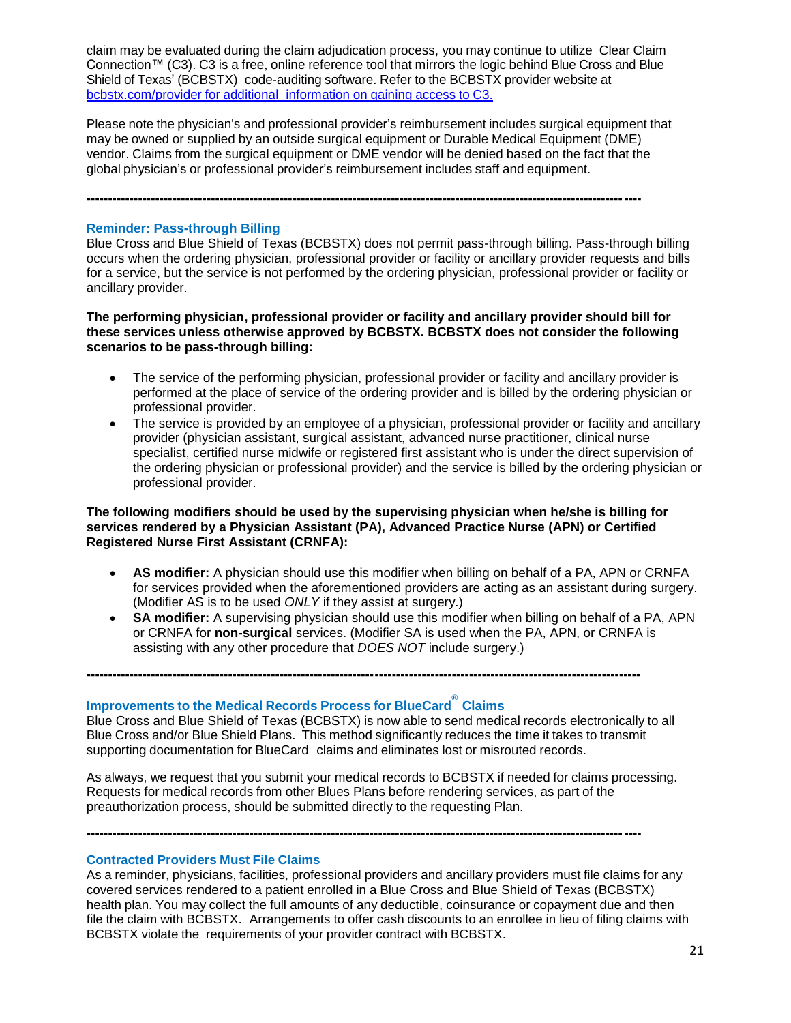claim may be evaluated during the claim adjudication process, you may continue to utilize Clear Claim Connection™ (C3). C3 is a free, online reference tool that mirrors the logic behind Blue Cross and Blue Shield of Texas' (BCBSTX) code-auditing software. Refer to the BCBSTX provider website at [bcbstx.com/provider](http://www.bcbstx.com/provider/tools/clear_claim_connection.htmlhttp:/www.bcbstx.com/provider/tools/clear_claim_connection.html) for additional information on gaining access to C3.

Please note the physician's and professional provider's reimbursement includes surgical equipment that may be owned or supplied by an outside surgical equipment or Durable Medical Equipment (DME) vendor. Claims from the surgical equipment or DME vendor will be denied based on the fact that the global physician's or professional provider's reimbursement includes staff and equipment.

**---------------------------------------------------------------------------------------------------------------------------------**

### **Reminder: Pass-through Billing**

Blue Cross and Blue Shield of Texas (BCBSTX) does not permit pass-through billing. Pass-through billing occurs when the ordering physician, professional provider or facility or ancillary provider requests and bills for a service, but the service is not performed by the ordering physician, professional provider or facility or ancillary provider.

**The performing physician, professional provider or facility and ancillary provider should bill for these services unless otherwise approved by BCBSTX. BCBSTX does not consider the following scenarios to be pass-through billing:**

- The service of the performing physician, professional provider or facility and ancillary provider is performed at the place of service of the ordering provider and is billed by the ordering physician or professional provider.
- The service is provided by an employee of a physician, professional provider or facility and ancillary provider (physician assistant, surgical assistant, advanced nurse practitioner, clinical nurse specialist, certified nurse midwife or registered first assistant who is under the direct supervision of the ordering physician or professional provider) and the service is billed by the ordering physician or professional provider.

### **The following modifiers should be used by the supervising physician when he/she is billing for services rendered by a Physician Assistant (PA), Advanced Practice Nurse (APN) or Certified Registered Nurse First Assistant (CRNFA):**

- **AS modifier:** A physician should use this modifier when billing on behalf of a PA, APN or CRNFA for services provided when the aforementioned providers are acting as an assistant during surgery. (Modifier AS is to be used *ONLY* if they assist at surgery.)
- **SA modifier:** A supervising physician should use this modifier when billing on behalf of a PA, APN or CRNFA for **non-surgical** services. (Modifier SA is used when the PA, APN, or CRNFA is assisting with any other procedure that *DOES NOT* include surgery.)

# **Improvements to the Medical Records Process for BlueCard® Claims**

Blue Cross and Blue Shield of Texas (BCBSTX) is now able to send medical records electronically to all Blue Cross and/or Blue Shield Plans. This method significantly reduces the time it takes to transmit supporting documentation for BlueCard claims and eliminates lost or misrouted records.

**---------------------------------------------------------------------------------------------------------------------------------**

As always, we request that you submit your medical records to BCBSTX if needed for claims processing. Requests for medical records from other Blues Plans before rendering services, as part of the preauthorization process, should be submitted directly to the requesting Plan.

**---------------------------------------------------------------------------------------------------------------------------------**

#### **Contracted Providers Must File Claims**

As a reminder, physicians, facilities, professional providers and ancillary providers must file claims for any covered services rendered to a patient enrolled in a Blue Cross and Blue Shield of Texas (BCBSTX) health plan. You may collect the full amounts of any deductible, coinsurance or copayment due and then file the claim with BCBSTX. Arrangements to offer cash discounts to an enrollee in lieu of filing claims with BCBSTX violate the requirements of your provider contract with BCBSTX.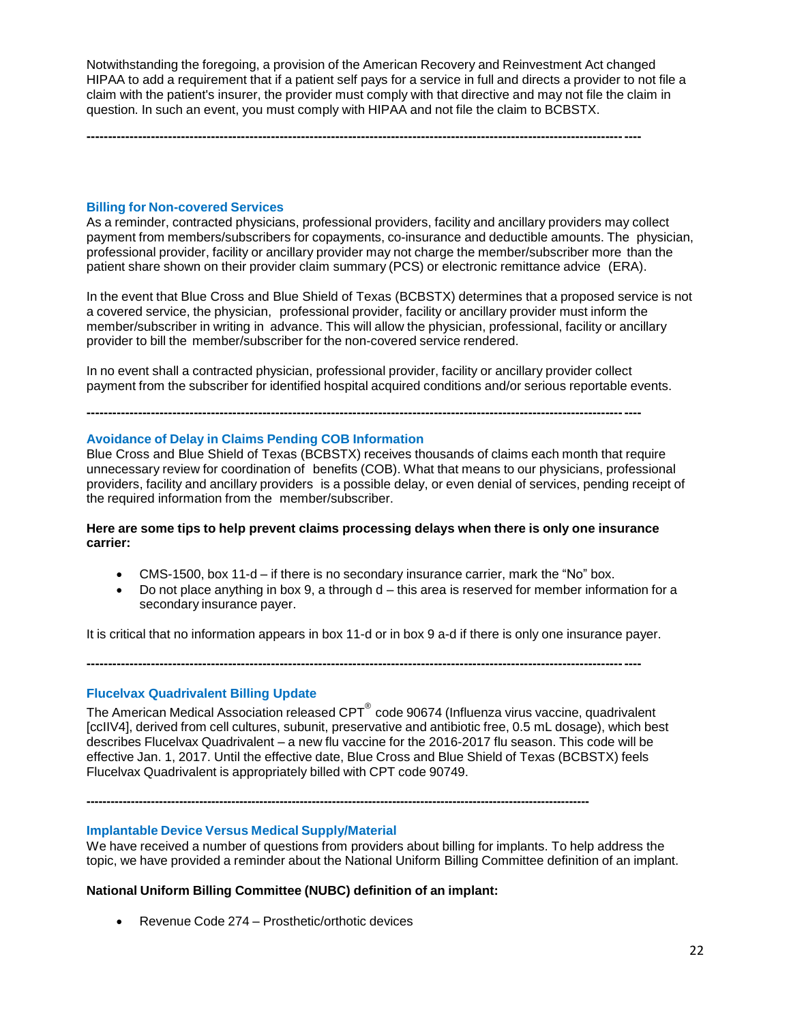Notwithstanding the foregoing, a provision of the American Recovery and Reinvestment Act changed HIPAA to add a requirement that if a patient self pays for a service in full and directs a provider to not file a claim with the patient's insurer, the provider must comply with that directive and may not file the claim in question. In such an event, you must comply with HIPAA and not file the claim to BCBSTX.

**---------------------------------------------------------------------------------------------------------------------------------**

**Billing for Non-covered Services**

As a reminder, contracted physicians, professional providers, facility and ancillary providers may collect payment from members/subscribers for copayments, co-insurance and deductible amounts. The physician, professional provider, facility or ancillary provider may not charge the member/subscriber more than the patient share shown on their provider claim summary (PCS) or electronic remittance advice (ERA).

In the event that Blue Cross and Blue Shield of Texas (BCBSTX) determines that a proposed service is not a covered service, the physician, professional provider, facility or ancillary provider must inform the member/subscriber in writing in advance. This will allow the physician, professional, facility or ancillary provider to bill the member/subscriber for the non-covered service rendered.

In no event shall a contracted physician, professional provider, facility or ancillary provider collect payment from the subscriber for identified hospital acquired conditions and/or serious reportable events.

**---------------------------------------------------------------------------------------------------------------------------------**

#### **Avoidance of Delay in Claims Pending COB Information**

Blue Cross and Blue Shield of Texas (BCBSTX) receives thousands of claims each month that require unnecessary review for coordination of benefits (COB). What that means to our physicians, professional providers, facility and ancillary providers is a possible delay, or even denial of services, pending receipt of the required information from the member/subscriber.

#### **Here are some tips to help prevent claims processing delays when there is only one insurance carrier:**

- CMS-1500, box 11-d if there is no secondary insurance carrier, mark the "No" box.
- $\bullet$  Do not place anything in box 9, a through  $d$  this area is reserved for member information for a secondary insurance payer.

It is critical that no information appears in box 11-d or in box 9 a-d if there is only one insurance payer.

**---------------------------------------------------------------------------------------------------------------------------------**

#### **Flucelvax Quadrivalent Billing Update**

The American Medical Association released  $\text{CPT}^\circledast$  code 90674 (Influenza virus vaccine, quadrivalent [ccIIV4], derived from cell cultures, subunit, preservative and antibiotic free, 0.5 mL dosage), which best describes Flucelvax Quadrivalent – a new flu vaccine for the 2016-2017 flu season. This code will be effective Jan. 1, 2017. Until the effective date, Blue Cross and Blue Shield of Texas (BCBSTX) feels Flucelvax Quadrivalent is appropriately billed with CPT code 90749.

**-----------------------------------------------------------------------------------------------------------------------------**

# **Implantable Device Versus Medical Supply/Material**

We have received a number of questions from providers about billing for implants. To help address the topic, we have provided a reminder about the National Uniform Billing Committee definition of an implant.

#### **National Uniform Billing Committee (NUBC) definition of an implant:**

Revenue Code 274 – Prosthetic/orthotic devices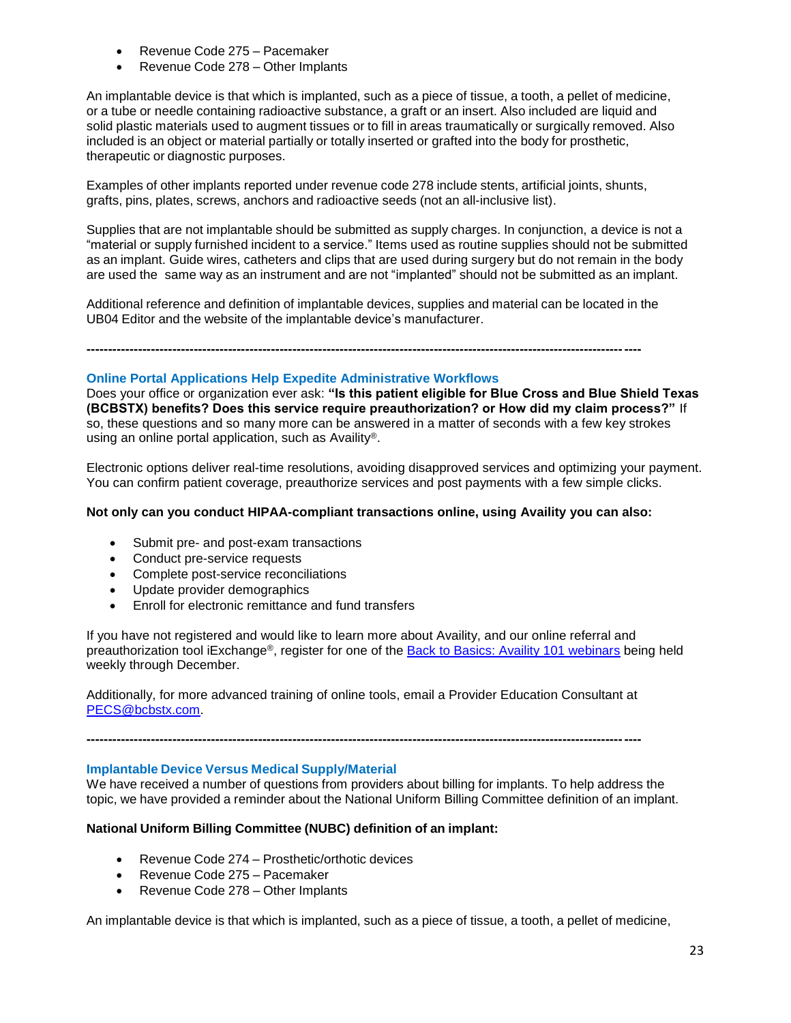- Revenue Code 275 Pacemaker
- Revenue Code 278 Other Implants

An implantable device is that which is implanted, such as a piece of tissue, a tooth, a pellet of medicine, or a tube or needle containing radioactive substance, a graft or an insert. Also included are liquid and solid plastic materials used to augment tissues or to fill in areas traumatically or surgically removed. Also included is an object or material partially or totally inserted or grafted into the body for prosthetic, therapeutic or diagnostic purposes.

Examples of other implants reported under revenue code 278 include stents, artificial joints, shunts, grafts, pins, plates, screws, anchors and radioactive seeds (not an all-inclusive list).

Supplies that are not implantable should be submitted as supply charges. In conjunction, a device is not a "material or supply furnished incident to a service." Items used as routine supplies should not be submitted as an implant. Guide wires, catheters and clips that are used during surgery but do not remain in the body are used the same way as an instrument and are not "implanted" should not be submitted as an implant.

Additional reference and definition of implantable devices, supplies and material can be located in the UB04 Editor and the website of the implantable device's manufacturer.

**---------------------------------------------------------------------------------------------------------------------------------**

#### **Online Portal Applications Help Expedite Administrative Workflows**

Does your office or organization ever ask: **"Is this patient eligible for Blue Cross and Blue Shield Texas (BCBSTX) benefits? Does this service require preauthorization? or How did my claim process?"** If so, these questions and so many more can be answered in a matter of seconds with a few key strokes using an online portal application, such as Availity®.

Electronic options deliver real-time resolutions, avoiding disapproved services and optimizing your payment. You can confirm patient coverage, preauthorize services and post payments with a few simple clicks.

### **Not only can you conduct HIPAA-compliant transactions online, using Availity you can also:**

- Submit pre- and post-exam transactions
- Conduct pre-service requests
- Complete post-service reconciliations
- Update provider demographics
- Enroll for electronic remittance and fund transfers

If you have not registered and would like to learn more about Availity, and our online referral and preauthorization tool iExchange®, register for one of the [Back to Basics: Availity 101 webinars](http://www.bcbstx.com/provider/training/availity.html) being held weekly through December.

Additionally, for more advanced training of online tools, email a Provider Education Consultant at [PECS@bcbstx.com.](mailto:PECS@bcbstx.com)

**---------------------------------------------------------------------------------------------------------------------------------**

### **Implantable Device Versus Medical Supply/Material**

We have received a number of questions from providers about billing for implants. To help address the topic, we have provided a reminder about the National Uniform Billing Committee definition of an implant.

# **National Uniform Billing Committee (NUBC) definition of an implant:**

- Revenue Code 274 Prosthetic/orthotic devices
- Revenue Code 275 Pacemaker
- Revenue Code 278 Other Implants

An implantable device is that which is implanted, such as a piece of tissue, a tooth, a pellet of medicine,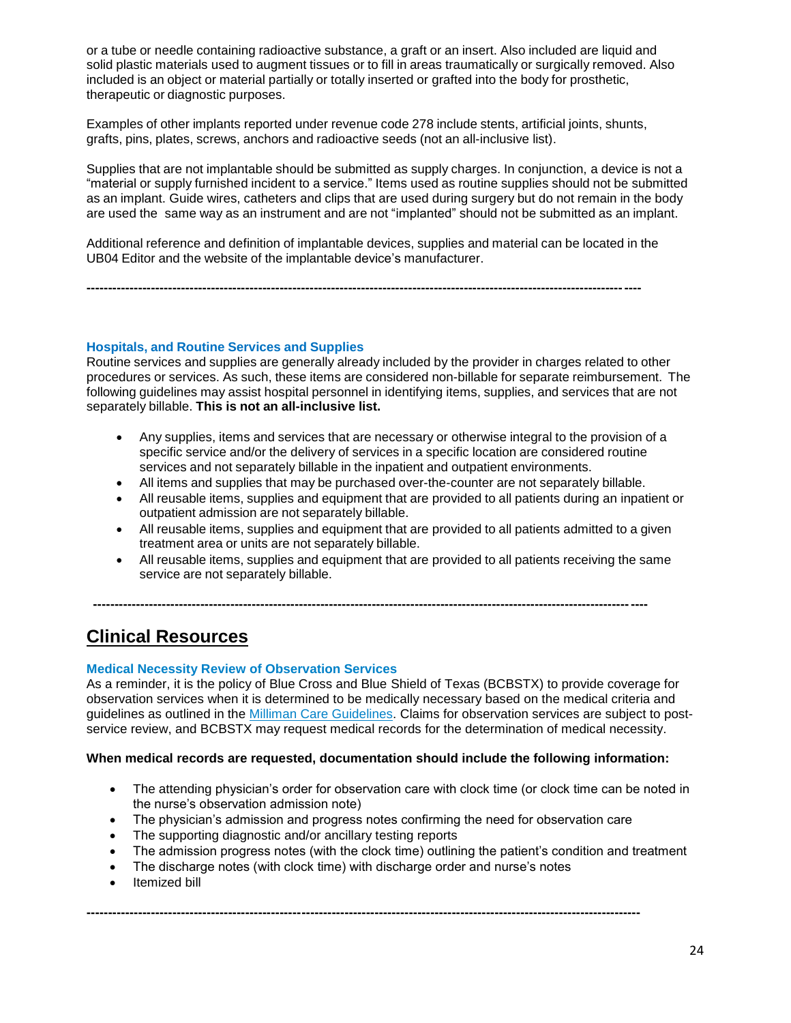or a tube or needle containing radioactive substance, a graft or an insert. Also included are liquid and solid plastic materials used to augment tissues or to fill in areas traumatically or surgically removed. Also included is an object or material partially or totally inserted or grafted into the body for prosthetic, therapeutic or diagnostic purposes.

Examples of other implants reported under revenue code 278 include stents, artificial joints, shunts, grafts, pins, plates, screws, anchors and radioactive seeds (not an all-inclusive list).

Supplies that are not implantable should be submitted as supply charges. In conjunction, a device is not a "material or supply furnished incident to a service." Items used as routine supplies should not be submitted as an implant. Guide wires, catheters and clips that are used during surgery but do not remain in the body are used the same way as an instrument and are not "implanted" should not be submitted as an implant.

Additional reference and definition of implantable devices, supplies and material can be located in the UB04 Editor and the website of the implantable device's manufacturer.

**---------------------------------------------------------------------------------------------------------------------------------**

**Hospitals, and Routine Services and Supplies**

Routine services and supplies are generally already included by the provider in charges related to other procedures or services. As such, these items are considered non-billable for separate reimbursement. The following guidelines may assist hospital personnel in identifying items, supplies, and services that are not separately billable. **This is not an all-inclusive list.**

- Any supplies, items and services that are necessary or otherwise integral to the provision of a specific service and/or the delivery of services in a specific location are considered routine services and not separately billable in the inpatient and outpatient environments.
- All items and supplies that may be purchased over-the-counter are not separately billable.
- All reusable items, supplies and equipment that are provided to all patients during an inpatient or outpatient admission are not separately billable.
- All reusable items, supplies and equipment that are provided to all patients admitted to a given treatment area or units are not separately billable.
- All reusable items, supplies and equipment that are provided to all patients receiving the same service are not separately billable.

**---------------------------------------------------------------------------------------------------------------------------------**

# **Clinical Resources**

#### **Medical Necessity Review of Observation Services**

As a reminder, it is the policy of Blue Cross and Blue Shield of Texas (BCBSTX) to provide coverage for observation services when it is determined to be medically necessary based on the medical criteria and guidelines as outlined in the Milliman Care [Guidelines.](http://www.pages02.net/hcscnosuppression/blue_review_december_2016/LPT.url?kn=958007&vs=NWNhZGUwZTMtYTM0NC00NmNjLTk5MmMtMzA0YzJmY2I1OGNiOzA6MTAwMTA0NDc6MTM3MDU0MDE0OTA0OjEwNjA2Njk5NDE6MTA2MDY2OTk0MTsS1) Claims for observation services are subject to postservice review, and BCBSTX may request medical records for the determination of medical necessity.

#### **When medical records are requested, documentation should include the following information:**

- The attending physician's order for observation care with clock time (or clock time can be noted in the nurse's observation admission note)
- The physician's admission and progress notes confirming the need for observation care

**---------------------------------------------------------------------------------------------------------------------------------**

- The supporting diagnostic and/or ancillary testing reports
- The admission progress notes (with the clock time) outlining the patient's condition and treatment
- The discharge notes (with clock time) with discharge order and nurse's notes
- Itemized bill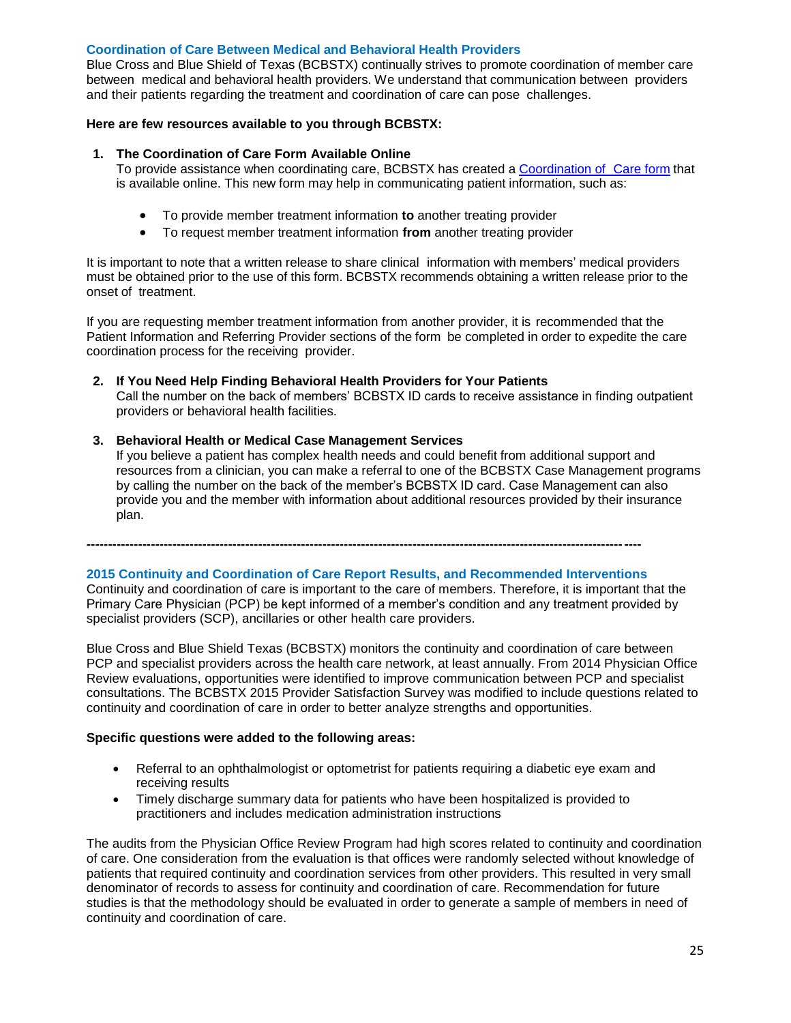### **Coordination of Care Between Medical and Behavioral Health Providers**

Blue Cross and Blue Shield of Texas (BCBSTX) continually strives to promote coordination of member care between medical and behavioral health providers. We understand that communication between providers and their patients regarding the treatment and coordination of care can pose challenges.

### **Here are few resources available to you through BCBSTX:**

#### **1. The Coordination of Care Form Available Online**

To provide assistance when coordinating care, BCBSTX has created a [Coordination](http://www.bcbstx.com/provider/pdf/bh_coordination_care.pdf) of Care form that is available online. This new form may help in communicating patient information, such as:

- To provide member treatment information **to** another treating provider
- To request member treatment information **from** another treating provider

It is important to note that a written release to share clinical information with members' medical providers must be obtained prior to the use of this form. BCBSTX recommends obtaining a written release prior to the onset of treatment.

If you are requesting member treatment information from another provider, it is recommended that the Patient Information and Referring Provider sections of the form be completed in order to expedite the care coordination process for the receiving provider.

**2. If You Need Help Finding Behavioral Health Providers for Your Patients** Call the number on the back of members' BCBSTX ID cards to receive assistance in finding outpatient providers or behavioral health facilities.

### **3. Behavioral Health or Medical Case Management Services**

If you believe a patient has complex health needs and could benefit from additional support and resources from a clinician, you can make a referral to one of the BCBSTX Case Management programs by calling the number on the back of the member's BCBSTX ID card. Case Management can also provide you and the member with information about additional resources provided by their insurance plan.

**---------------------------------------------------------------------------------------------------------------------------------**

# **2015 Continuity and Coordination of Care Report Results, and Recommended Interventions**

Continuity and coordination of care is important to the care of members. Therefore, it is important that the Primary Care Physician (PCP) be kept informed of a member's condition and any treatment provided by specialist providers (SCP), ancillaries or other health care providers.

Blue Cross and Blue Shield Texas (BCBSTX) monitors the continuity and coordination of care between PCP and specialist providers across the health care network, at least annually. From 2014 Physician Office Review evaluations, opportunities were identified to improve communication between PCP and specialist consultations. The BCBSTX 2015 Provider Satisfaction Survey was modified to include questions related to continuity and coordination of care in order to better analyze strengths and opportunities.

#### **Specific questions were added to the following areas:**

- Referral to an ophthalmologist or optometrist for patients requiring a diabetic eye exam and receiving results
- Timely discharge summary data for patients who have been hospitalized is provided to practitioners and includes medication administration instructions

The audits from the Physician Office Review Program had high scores related to continuity and coordination of care. One consideration from the evaluation is that offices were randomly selected without knowledge of patients that required continuity and coordination services from other providers. This resulted in very small denominator of records to assess for continuity and coordination of care. Recommendation for future studies is that the methodology should be evaluated in order to generate a sample of members in need of continuity and coordination of care.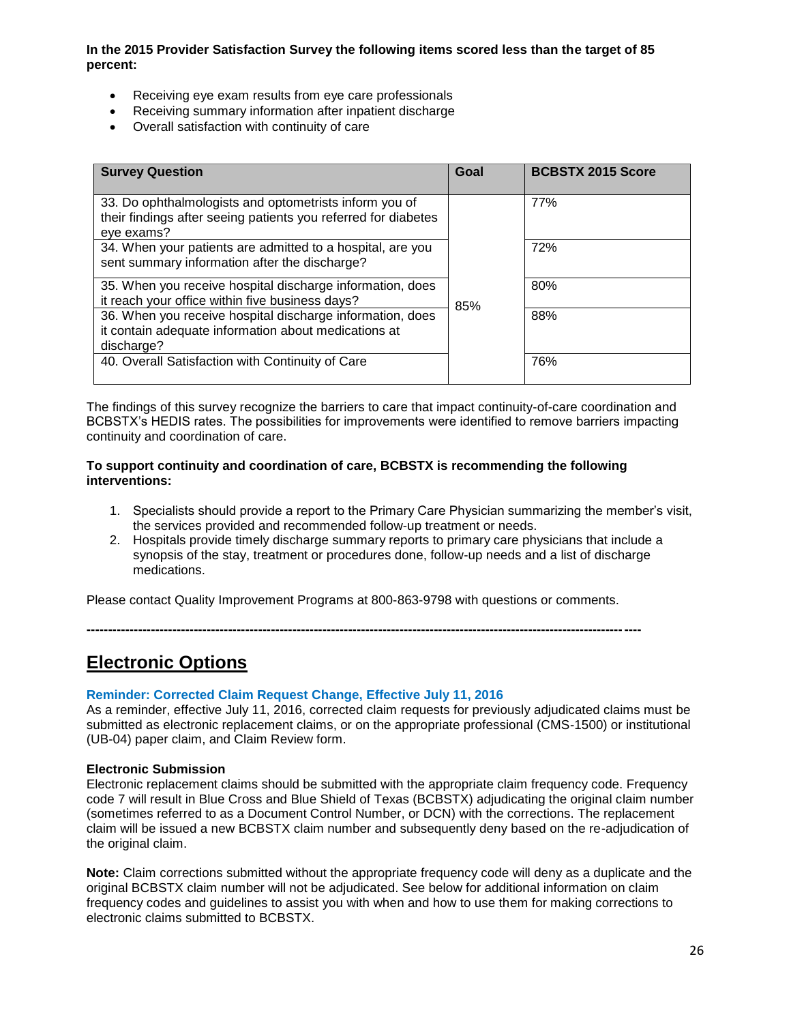# **In the 2015 Provider Satisfaction Survey the following items scored less than the target of 85 percent:**

- Receiving eye exam results from eye care professionals
- Receiving summary information after inpatient discharge
- Overall satisfaction with continuity of care

| <b>Survey Question</b>                                                                                                                 | Goal | <b>BCBSTX 2015 Score</b> |
|----------------------------------------------------------------------------------------------------------------------------------------|------|--------------------------|
| 33. Do ophthalmologists and optometrists inform you of<br>their findings after seeing patients you referred for diabetes<br>eye exams? |      | 77%                      |
| 34. When your patients are admitted to a hospital, are you<br>sent summary information after the discharge?                            |      | 72%                      |
| 35. When you receive hospital discharge information, does<br>it reach your office within five business days?                           | 85%  | 80%                      |
| 36. When you receive hospital discharge information, does<br>it contain adequate information about medications at<br>discharge?        |      | 88%                      |
| 40. Overall Satisfaction with Continuity of Care                                                                                       |      | 76%                      |

The findings of this survey recognize the barriers to care that impact continuity-of-care coordination and BCBSTX's HEDIS rates. The possibilities for improvements were identified to remove barriers impacting continuity and coordination of care.

### **To support continuity and coordination of care, BCBSTX is recommending the following interventions:**

- 1. Specialists should provide a report to the Primary Care Physician summarizing the member's visit, the services provided and recommended follow-up treatment or needs.
- 2. Hospitals provide timely discharge summary reports to primary care physicians that include a synopsis of the stay, treatment or procedures done, follow-up needs and a list of discharge medications.

Please contact Quality Improvement Programs at 800-863-9798 with questions or comments.

**---------------------------------------------------------------------------------------------------------------------------------**

# **Electronic Options**

#### **Reminder: Corrected Claim Request Change, Effective July 11, 2016**

As a reminder, effective July 11, 2016, corrected claim requests for previously adjudicated claims must be submitted as electronic replacement claims, or on the appropriate professional (CMS-1500) or institutional (UB-04) paper claim, and Claim Review form.

#### **Electronic Submission**

Electronic replacement claims should be submitted with the appropriate claim frequency code. Frequency code 7 will result in Blue Cross and Blue Shield of Texas (BCBSTX) adjudicating the original claim number (sometimes referred to as a Document Control Number, or DCN) with the corrections. The replacement claim will be issued a new BCBSTX claim number and subsequently deny based on the re-adjudication of the original claim.

**Note:** Claim corrections submitted without the appropriate frequency code will deny as a duplicate and the original BCBSTX claim number will not be adjudicated. See below for additional information on claim frequency codes and guidelines to assist you with when and how to use them for making corrections to electronic claims submitted to BCBSTX.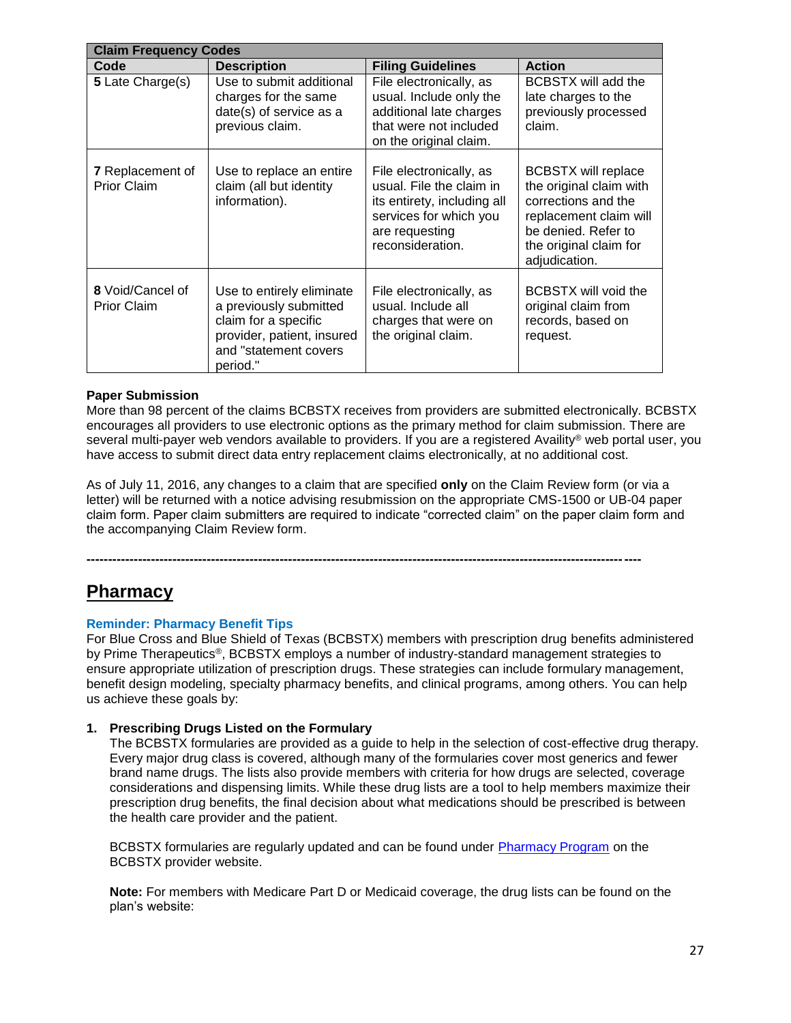| <b>Claim Frequency Codes</b>                  |                                                                                                                                                |                                                                                                                                                    |                                                                                                                                                                          |
|-----------------------------------------------|------------------------------------------------------------------------------------------------------------------------------------------------|----------------------------------------------------------------------------------------------------------------------------------------------------|--------------------------------------------------------------------------------------------------------------------------------------------------------------------------|
| Code                                          | <b>Description</b>                                                                                                                             | <b>Filing Guidelines</b>                                                                                                                           | <b>Action</b>                                                                                                                                                            |
| 5 Late Charge(s)                              | Use to submit additional<br>charges for the same<br>date(s) of service as a<br>previous claim.                                                 | File electronically, as<br>usual. Include only the<br>additional late charges<br>that were not included<br>on the original claim.                  | <b>BCBSTX</b> will add the<br>late charges to the<br>previously processed<br>claim.                                                                                      |
| <b>7</b> Replacement of<br><b>Prior Claim</b> | Use to replace an entire<br>claim (all but identity<br>information).                                                                           | File electronically, as<br>usual. File the claim in<br>its entirety, including all<br>services for which you<br>are requesting<br>reconsideration. | <b>BCBSTX will replace</b><br>the original claim with<br>corrections and the<br>replacement claim will<br>be denied. Refer to<br>the original claim for<br>adjudication. |
| 8 Void/Cancel of<br><b>Prior Claim</b>        | Use to entirely eliminate<br>a previously submitted<br>claim for a specific<br>provider, patient, insured<br>and "statement covers<br>period." | File electronically, as<br>usual. Include all<br>charges that were on<br>the original claim.                                                       | BCBSTX will void the<br>original claim from<br>records, based on<br>request.                                                                                             |

# **Paper Submission**

More than 98 percent of the claims BCBSTX receives from providers are submitted electronically. BCBSTX encourages all providers to use electronic options as the primary method for claim submission. There are several multi-payer web vendors available to providers. If you are a registered Availity® web portal user, you have access to submit direct data entry replacement claims electronically, at no additional cost.

As of July 11, 2016, any changes to a claim that are specified **only** on the Claim Review form (or via a letter) will be returned with a notice advising resubmission on the appropriate CMS-1500 or UB-04 paper claim form. Paper claim submitters are required to indicate "corrected claim" on the paper claim form and the accompanying Claim Review form.

**---------------------------------------------------------------------------------------------------------------------------------**

# **Pharmacy**

#### **Reminder: Pharmacy Benefit Tips**

For Blue Cross and Blue Shield of Texas (BCBSTX) members with prescription drug benefits administered by Prime Therapeutics®, BCBSTX employs a number of industry-standard management strategies to ensure appropriate utilization of prescription drugs. These strategies can include formulary management, benefit design modeling, specialty pharmacy benefits, and clinical programs, among others. You can help us achieve these goals by:

#### **1. Prescribing Drugs Listed on the Formulary**

The BCBSTX formularies are provided as a guide to help in the selection of cost-effective drug therapy. Every major drug class is covered, although many of the formularies cover most generics and fewer brand name drugs. The lists also provide members with criteria for how drugs are selected, coverage considerations and dispensing limits. While these drug lists are a tool to help members maximize their prescription drug benefits, the final decision about what medications should be prescribed is between the health care provider and the patient.

BCBSTX formularies are regularly updated and can be found under [Pharmacy Program](http://www.bcbstx.com/provider/pharmacy/index.html) on the BCBSTX provider website.

**Note:** For members with Medicare Part D or Medicaid coverage, the drug lists can be found on the plan's website: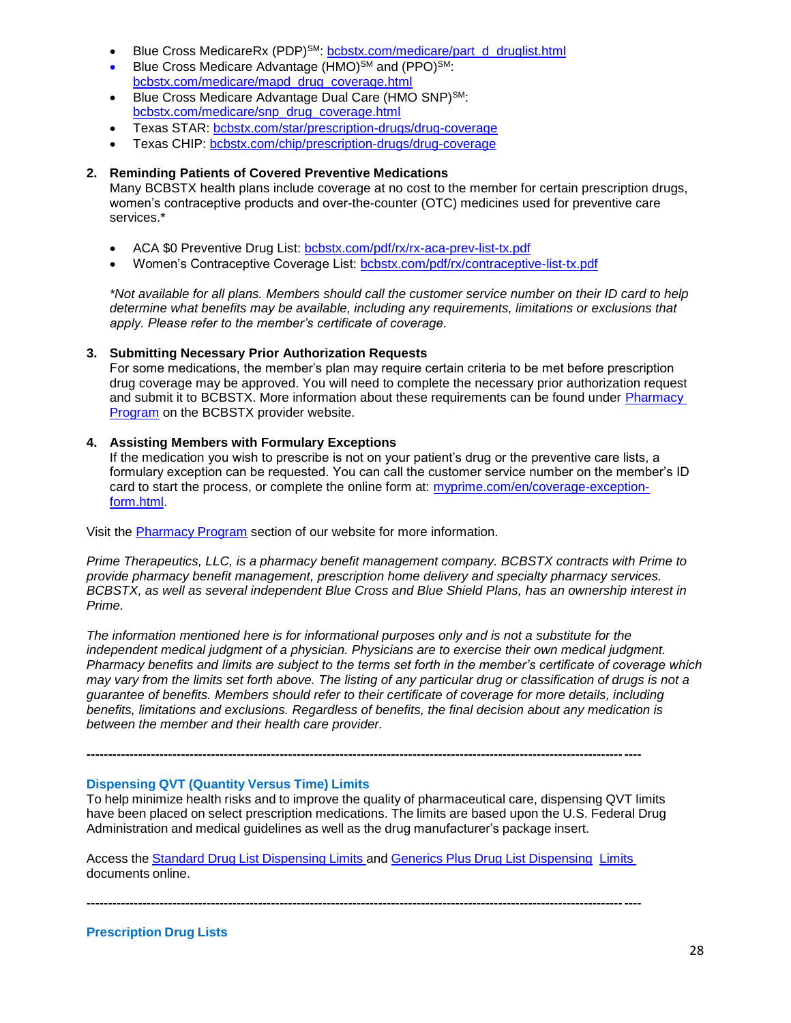- Blue Cross MedicareRx (PDP)<sup>SM</sup>: [bcbstx.com/medicare/part\\_d\\_druglist.html](http://www.bcbstx.com/medicare/part_d_druglist.html)
- Blue Cross Medicare Advantage (HMO)<sup>SM</sup> and (PPO)<sup>SM</sup>: [bcbstx.com/medicare/mapd\\_drug\\_coverage.html](http://www.bcbstx.com/medicare/mapd_drug_coverage.html)
- Blue Cross Medicare Advantage Dual Care (HMO SNP)SM: [bcbstx.com/medicare/snp\\_drug\\_coverage.html](http://www.bcbstx.com/medicare/snp_drug_coverage.html)
- Texas STAR: [bcbstx.com/star/prescription-drugs/drug-coverage](http://www.bcbstx.com/star/prescription-drugs/drug-coverage)
- Texas CHIP: [bcbstx.com/chip/prescription-drugs/drug-coverage](http://www.bcbstx.com/chip/prescription-drugs/drug-coverage)

### **2. Reminding Patients of Covered Preventive Medications**

Many BCBSTX health plans include coverage at no cost to the member for certain prescription drugs, women's contraceptive products and over-the-counter (OTC) medicines used for preventive care services.\*

- ACA \$0 Preventive Drug List: [bcbstx.com/pdf/rx/rx-aca-prev-list-tx.pdf](http://www.bcbstx.com/pdf/rx/rx-aca-prev-list-tx.pdf)
- Women's Contraceptive Coverage List: [bcbstx.com/pdf/rx/contraceptive-list-tx.pdf](http://www.bcbstx.com/pdf/rx/contraceptive-list-tx.pdf)

*\*Not available for all plans. Members should call the customer service number on their ID card to help determine what benefits may be available, including any requirements, limitations or exclusions that apply. Please refer to the member's certificate of coverage.*

### **3. Submitting Necessary Prior Authorization Requests**

For some medications, the member's plan may require certain criteria to be met before prescription drug coverage may be approved. You will need to complete the necessary prior authorization request and submit it to BCBSTX. More information about these requirements can be found under **Pharmacy** [Program](http://www.bcbstx.com/provider/pharmacy/index.html) on the BCBSTX provider website.

### **4. Assisting Members with Formulary Exceptions**

If the medication you wish to prescribe is not on your patient's drug or the preventive care lists, a formulary exception can be requested. You can call the customer service number on the member's ID card to start the process, or complete the online form at: [myprime.com/en/coverage-exception](http://www.myprime.com/en/coverage-exception-form.html)[form.html.](http://www.myprime.com/en/coverage-exception-form.html)

Visit the [Pharmacy Program](http://www.bcbstx.com/provider/pharmacy/index.html) section of our website for more information.

*Prime Therapeutics, LLC, is a pharmacy benefit management company. BCBSTX contracts with Prime to provide pharmacy benefit management, prescription home delivery and specialty pharmacy services. BCBSTX, as well as several independent Blue Cross and Blue Shield Plans, has an ownership interest in Prime.* 

*The information mentioned here is for informational purposes only and is not a substitute for the independent medical judgment of a physician. Physicians are to exercise their own medical judgment. Pharmacy benefits and limits are subject to the terms set forth in the member's certificate of coverage which may vary from the limits set forth above. The listing of any particular drug or classification of drugs is not a guarantee of benefits. Members should refer to their certificate of coverage for more details, including benefits, limitations and exclusions. Regardless of benefits, the final decision about any medication is between the member and their health care provider.*

#### **Dispensing QVT (Quantity Versus Time) Limits**

To help minimize health risks and to improve the quality of pharmaceutical care, dispensing QVT limits have been placed on select prescription medications. The limits are based upon the U.S. Federal Drug Administration and medical guidelines as well as the drug manufacturer's package insert.

Access the Standard Drug List [Dispensing](http://www.pages02.net/hcscnosuppression/nlt_br_providers_june_2016_b_ok_060116_in_every_issue/LPT.url?kn=900485&vs=YTVjNjZjMzUtOGRhNi00MDUwLWI1MDAtYTg0NTI3M2JkZmUxOzA6ODk5OTgwMToyMjY0ODg5MjYwNzo5NDAwOTQyMjQ6OTQwMDk0MjI0OwS2) Limits and Generics Plus Drug List [Dispensing](http://www.pages02.net/hcscnosuppression/nlt_br_providers_june_2016_b_ok_060116_in_every_issue/LPT.url?kn=900486&vs=YTVjNjZjMzUtOGRhNi00MDUwLWI1MDAtYTg0NTI3M2JkZmUxOzA6ODk5OTgwMToyMjY0ODg5MjYwNzo5NDAwOTQyMjQ6OTQwMDk0MjI0OwS2) [Limits](http://www.pages02.net/hcscnosuppression/nlt_br_providers_june_2016_b_ok_060116_in_every_issue/LPT.url?kn=900486&vs=YTVjNjZjMzUtOGRhNi00MDUwLWI1MDAtYTg0NTI3M2JkZmUxOzA6ODk5OTgwMToyMjY0ODg5MjYwNzo5NDAwOTQyMjQ6OTQwMDk0MjI0OwS2) documents online.

**---------------------------------------------------------------------------------------------------------------------------------**

**---------------------------------------------------------------------------------------------------------------------------------**

**Prescription Drug Lists**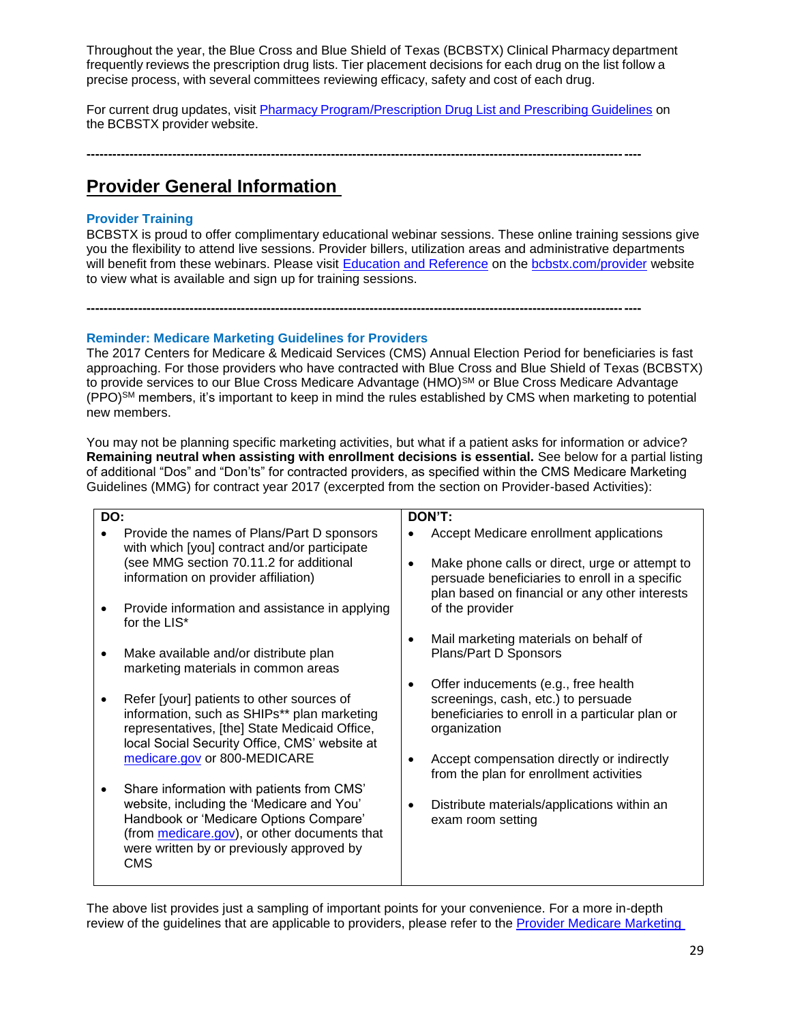Throughout the year, the Blue Cross and Blue Shield of Texas (BCBSTX) Clinical Pharmacy department frequently reviews the prescription drug lists. Tier placement decisions for each drug on the list follow a precise process, with several committees reviewing efficacy, safety and cost of each drug.

For current drug updates, visit Pharmacy [Program/Prescription](http://www.bcbstx.com/provider/pharmacy/rx_list.html) Drug List and Prescribing Guidelines on the BCBSTX provider website.

**---------------------------------------------------------------------------------------------------------------------------------**

**---------------------------------------------------------------------------------------------------------------------------------**

# **Provider General Information**

# **Provider Training**

BCBSTX is proud to offer complimentary educational webinar sessions. These online training sessions give you the flexibility to attend live sessions. Provider billers, utilization areas and administrative departments will benefit from these webinars. Please visit [Education and Reference](http://www.bcbstx.com/provider/training/index.html) on the [bcbstx.com/provider](http://www.bcbstx.com/provider/index.html) website to view what is available and sign up for training sessions.

### **Reminder: Medicare Marketing Guidelines for Providers**

The 2017 Centers for Medicare & Medicaid Services (CMS) Annual Election Period for beneficiaries is fast approaching. For those providers who have contracted with Blue Cross and Blue Shield of Texas (BCBSTX) to provide services to our Blue Cross Medicare Advantage (HMO)<sup>SM</sup> or Blue Cross Medicare Advantage (PPO)SM members, it's important to keep in mind the rules established by CMS when marketing to potential new members.

You may not be planning specific marketing activities, but what if a patient asks for information or advice? **Remaining neutral when assisting with enrollment decisions is essential.** See below for a partial listing of additional "Dos" and "Don'ts" for contracted providers, as specified within the CMS Medicare Marketing Guidelines (MMG) for contract year 2017 (excerpted from the section on Provider-based Activities):

| DON'T:                                                                                                                                                                                                                                                                                                                                                                                                                                                                                                                                                                                                                                                                                                                                                                                         |
|------------------------------------------------------------------------------------------------------------------------------------------------------------------------------------------------------------------------------------------------------------------------------------------------------------------------------------------------------------------------------------------------------------------------------------------------------------------------------------------------------------------------------------------------------------------------------------------------------------------------------------------------------------------------------------------------------------------------------------------------------------------------------------------------|
| Accept Medicare enrollment applications                                                                                                                                                                                                                                                                                                                                                                                                                                                                                                                                                                                                                                                                                                                                                        |
| Make phone calls or direct, urge or attempt to<br>persuade beneficiaries to enroll in a specific<br>plan based on financial or any other interests                                                                                                                                                                                                                                                                                                                                                                                                                                                                                                                                                                                                                                             |
| of the provider                                                                                                                                                                                                                                                                                                                                                                                                                                                                                                                                                                                                                                                                                                                                                                                |
| Mail marketing materials on behalf of<br>٠                                                                                                                                                                                                                                                                                                                                                                                                                                                                                                                                                                                                                                                                                                                                                     |
| Plans/Part D Sponsors                                                                                                                                                                                                                                                                                                                                                                                                                                                                                                                                                                                                                                                                                                                                                                          |
| Offer inducements (e.g., free health                                                                                                                                                                                                                                                                                                                                                                                                                                                                                                                                                                                                                                                                                                                                                           |
| screenings, cash, etc.) to persuade<br>beneficiaries to enroll in a particular plan or<br>organization                                                                                                                                                                                                                                                                                                                                                                                                                                                                                                                                                                                                                                                                                         |
| Accept compensation directly or indirectly<br>from the plan for enrollment activities                                                                                                                                                                                                                                                                                                                                                                                                                                                                                                                                                                                                                                                                                                          |
|                                                                                                                                                                                                                                                                                                                                                                                                                                                                                                                                                                                                                                                                                                                                                                                                |
| Distribute materials/applications within an<br>exam room setting                                                                                                                                                                                                                                                                                                                                                                                                                                                                                                                                                                                                                                                                                                                               |
| Provide the names of Plans/Part D sponsors<br>with which [you] contract and/or participate<br>(see MMG section 70.11.2 for additional<br>information on provider affiliation)<br>Provide information and assistance in applying<br>for the LIS*<br>Make available and/or distribute plan<br>marketing materials in common areas<br>Refer [your] patients to other sources of<br>information, such as SHIPs** plan marketing<br>representatives, [the] State Medicaid Office,<br>local Social Security Office, CMS' website at<br>medicare.gov or 800-MEDICARE<br>Share information with patients from CMS'<br>website, including the 'Medicare and You'<br>Handbook or 'Medicare Options Compare'<br>(from medicare.gov), or other documents that<br>were written by or previously approved by |

The above list provides just a sampling of important points for your convenience. For a more in-depth review of the guidelines that are applicable to providers, please refer to the [Provider Medicare Marketing](http://www.bcbstx.com/provider/pdf/medicare_marketing_guidelines.pdf)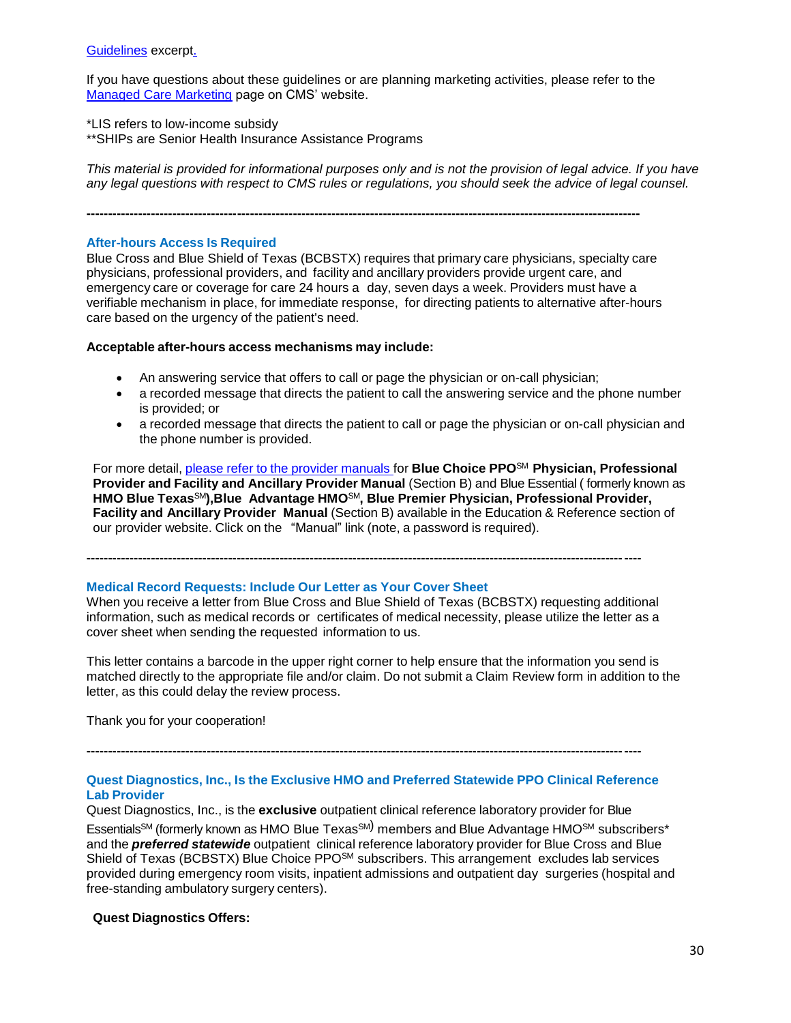[Guidelines](http://www.bcbstx.com/provider/pdf/medicare_marketing_guidelines.pdf) excerpt.

If you have questions about these guidelines or are planning marketing activities, please refer to the [Managed Care Marketing](https://www.cms.gov/Medicare/Health-Plans/ManagedCareMarketing/index.html) page on CMS' website.

\*LIS refers to low-income subsidy

\*\*SHIPs are Senior Health Insurance Assistance Programs

*This material is provided for informational purposes only and is not the provision of legal advice. If you have any legal questions with respect to CMS rules or regulations, you should seek the advice of legal counsel.* 

**---------------------------------------------------------------------------------------------------------------------------------**

#### **After-hours Access Is Required**

Blue Cross and Blue Shield of Texas (BCBSTX) requires that primary care physicians, specialty care physicians, professional providers, and facility and ancillary providers provide urgent care, and emergency care or coverage for care 24 hours a day, seven days a week. Providers must have a verifiable mechanism in place, for immediate response, for directing patients to alternative after-hours care based on the urgency of the patient's need.

#### **Acceptable after-hours access mechanisms may include:**

- An answering service that offers to call or page the physician or on-call physician;
- a recorded message that directs the patient to call the answering service and the phone number is provided; or
- a recorded message that directs the patient to call or page the physician or on-call physician and the phone number is provided.

For more detail, please refer to the provider [manuals](http://www.pages02.net/hcscnosuppression/nlt_br_providers_june_2016_b_ok_060116_in_every_issue/LPT.url?kn=900476&vs=YTVjNjZjMzUtOGRhNi00MDUwLWI1MDAtYTg0NTI3M2JkZmUxOzA6ODk5OTgwMToyMjY0ODg5MjYwNzo5NDAwOTQyMjQ6OTQwMDk0MjI0OwS2) for **Blue Choice PPO**SM **Physician, Professional Provider and Facility and Ancillary Provider Manual** (Section B) and Blue Essential ( formerly known as **HMO Blue Texas**SM**),Blue Advantage HMO**SM**, Blue Premier Physician, Professional Provider, Facility and Ancillary Provider Manual** (Section B) available in the Education & Reference section of our provider website. Click on the "Manual" link (note, a password is required).

**---------------------------------------------------------------------------------------------------------------------------------**

#### **Medical Record Requests: Include Our Letter as Your Cover Sheet**

When you receive a letter from Blue Cross and Blue Shield of Texas (BCBSTX) requesting additional information, such as medical records or certificates of medical necessity, please utilize the letter as a cover sheet when sending the requested information to us.

This letter contains a barcode in the upper right corner to help ensure that the information you send is matched directly to the appropriate file and/or claim. Do not submit a Claim Review form in addition to the letter, as this could delay the review process.

Thank you for your cooperation!

# **Quest Diagnostics, Inc., Is the Exclusive HMO and Preferred Statewide PPO Clinical Reference Lab Provider**

**---------------------------------------------------------------------------------------------------------------------------------**

Quest Diagnostics, Inc., is the **exclusive** outpatient clinical reference laboratory provider for Blue Essentials<sup>sM</sup> (formerly known as HMO Blue Texas<sup>sM)</sup> members and Blue Advantage HMO<sup>sM</sup> subscribers\* and the *preferred statewide* outpatient clinical reference laboratory provider for Blue Cross and Blue Shield of Texas (BCBSTX) Blue Choice PPO<sup>SM</sup> subscribers. This arrangement excludes lab services provided during emergency room visits, inpatient admissions and outpatient day surgeries (hospital and free-standing ambulatory surgery centers).

#### **Quest Diagnostics Offers:**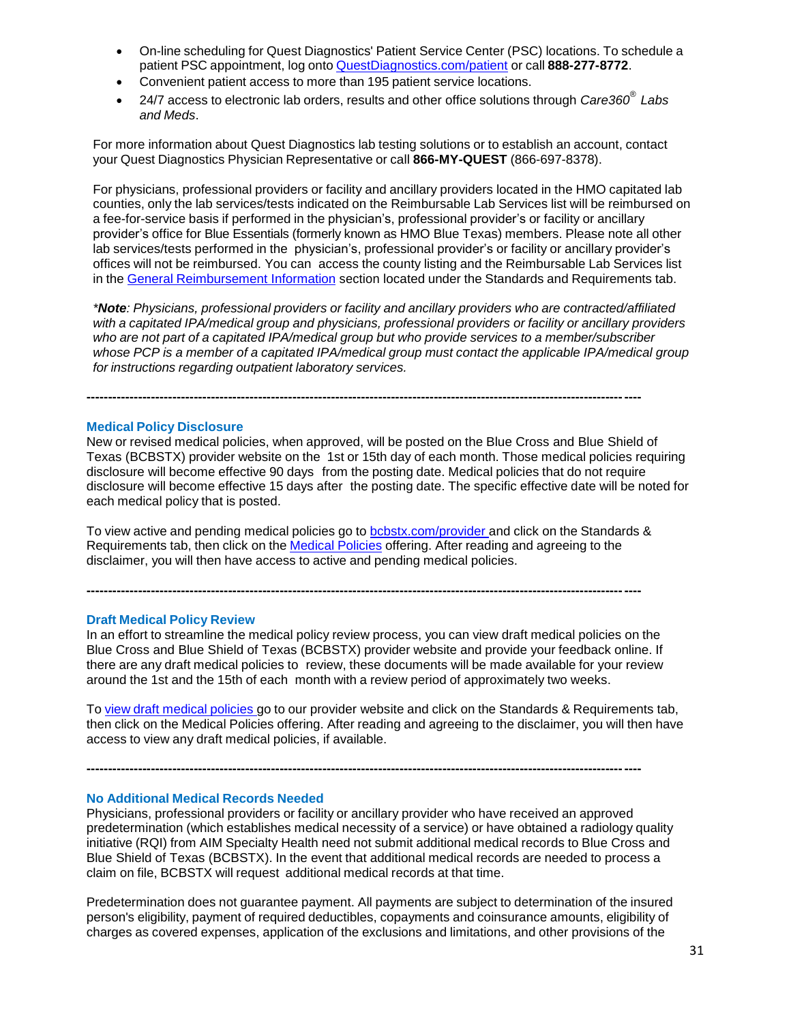- On-line scheduling for Quest Diagnostics' Patient Service Center (PSC) locations. To schedule a patient PSC appointment, log onto [QuestDiagnostics.com/patient](http://www.pages02.net/hcscnosuppression/nlt_br_providers_june_2016_b_ok_060116_in_every_issue/LPT.url?kn=900481&vs=YTVjNjZjMzUtOGRhNi00MDUwLWI1MDAtYTg0NTI3M2JkZmUxOzA6ODk5OTgwMToyMjY0ODg5MjYwNzo5NDAwOTQyMjQ6OTQwMDk0MjI0OwS2) or call **888-277-8772**.
- Convenient patient access to more than 195 patient service locations.
- 24/7 access to electronic lab orders, results and other office solutions through *Care360® Labs and Meds*.

For more information about Quest Diagnostics lab testing solutions or to establish an account, contact your Quest Diagnostics Physician Representative or call **866-MY-QUEST** (866-697-8378).

For physicians, professional providers or facility and ancillary providers located in the HMO capitated lab counties, only the lab services/tests indicated on the Reimbursable Lab Services list will be reimbursed on a fee-for-service basis if performed in the physician's, professional provider's or facility or ancillary provider's office for Blue Essentials (formerly known as HMO Blue Texas) members. Please note all other lab services/tests performed in the physician's, professional provider's or facility or ancillary provider's offices will not be reimbursed. You can access the county listing and the Reimbursable Lab Services list in the General [Reimbursement Information](http://www.pages02.net/hcscnosuppression/nlt_br_providers_june_2016_b_ok_060116_in_every_issue/LPT.url?kn=900482&vs=YTVjNjZjMzUtOGRhNi00MDUwLWI1MDAtYTg0NTI3M2JkZmUxOzA6ODk5OTgwMToyMjY0ODg5MjYwNzo5NDAwOTQyMjQ6OTQwMDk0MjI0OwS2) section located under the Standards and Requirements tab.

*\*Note: Physicians, professional providers or facility and ancillary providers who are contracted/affiliated with a capitated IPA/medical group and physicians, professional providers or facility or ancillary providers who are not part of a capitated IPA/medical group but who provide services to a member/subscriber whose PCP is a member of a capitated IPA/medical group must contact the applicable IPA/medical group for instructions regarding outpatient laboratory services.*

#### **Medical Policy Disclosure**

New or revised medical policies, when approved, will be posted on the Blue Cross and Blue Shield of Texas (BCBSTX) provider website on the 1st or 15th day of each month. Those medical policies requiring disclosure will become effective 90 days from the posting date. Medical policies that do not require disclosure will become effective 15 days after the posting date. The specific effective date will be noted for each medical policy that is posted.

To view active and pending medical policies go to [bcbstx.com/provider](http://www.pages02.net/hcscnosuppression/nlt_br_providers_june_2016_b_ok_060116_in_every_issue/LPT.url?kn=900483&vs=YTVjNjZjMzUtOGRhNi00MDUwLWI1MDAtYTg0NTI3M2JkZmUxOzA6ODk5OTgwMToyMjY0ODg5MjYwNzo5NDAwOTQyMjQ6OTQwMDk0MjI0OwS2) and click on the Standards & Requirements tab, then click on the Medical [Policies](http://www.medicalpolicy.hcsc.net/medicalpolicy/disclaimer?corpEntCd=TX1) offering. After reading and agreeing to the disclaimer, you will then have access to active and pending medical policies.

**---------------------------------------------------------------------------------------------------------------------------------**

**---------------------------------------------------------------------------------------------------------------------------------**

#### **Draft Medical Policy Review**

In an effort to streamline the medical policy review process, you can view draft medical policies on the Blue Cross and Blue Shield of Texas (BCBSTX) provider website and provide your feedback online. If there are any draft medical policies to review, these documents will be made available for your review around the 1st and the 15th of each month with a review period of approximately two weeks.

To view draft [medical](http://www.pages02.net/hcscnosuppression/nlt_br_providers_june_2016_b_ok_060116_in_every_issue/LPT.url?kn=900484&vs=YTVjNjZjMzUtOGRhNi00MDUwLWI1MDAtYTg0NTI3M2JkZmUxOzA6ODk5OTgwMToyMjY0ODg5MjYwNzo5NDAwOTQyMjQ6OTQwMDk0MjI0OwS2) policies go to our provider website and click on the Standards & Requirements tab, then click on the Medical Policies offering. After reading and agreeing to the disclaimer, you will then have access to view any draft medical policies, if available.

**---------------------------------------------------------------------------------------------------------------------------------**

#### **No Additional Medical Records Needed**

Physicians, professional providers or facility or ancillary provider who have received an approved predetermination (which establishes medical necessity of a service) or have obtained a radiology quality initiative (RQI) from AIM Specialty Health need not submit additional medical records to Blue Cross and Blue Shield of Texas (BCBSTX). In the event that additional medical records are needed to process a claim on file, BCBSTX will request additional medical records at that time.

Predetermination does not guarantee payment. All payments are subject to determination of the insured person's eligibility, payment of required deductibles, copayments and coinsurance amounts, eligibility of charges as covered expenses, application of the exclusions and limitations, and other provisions of the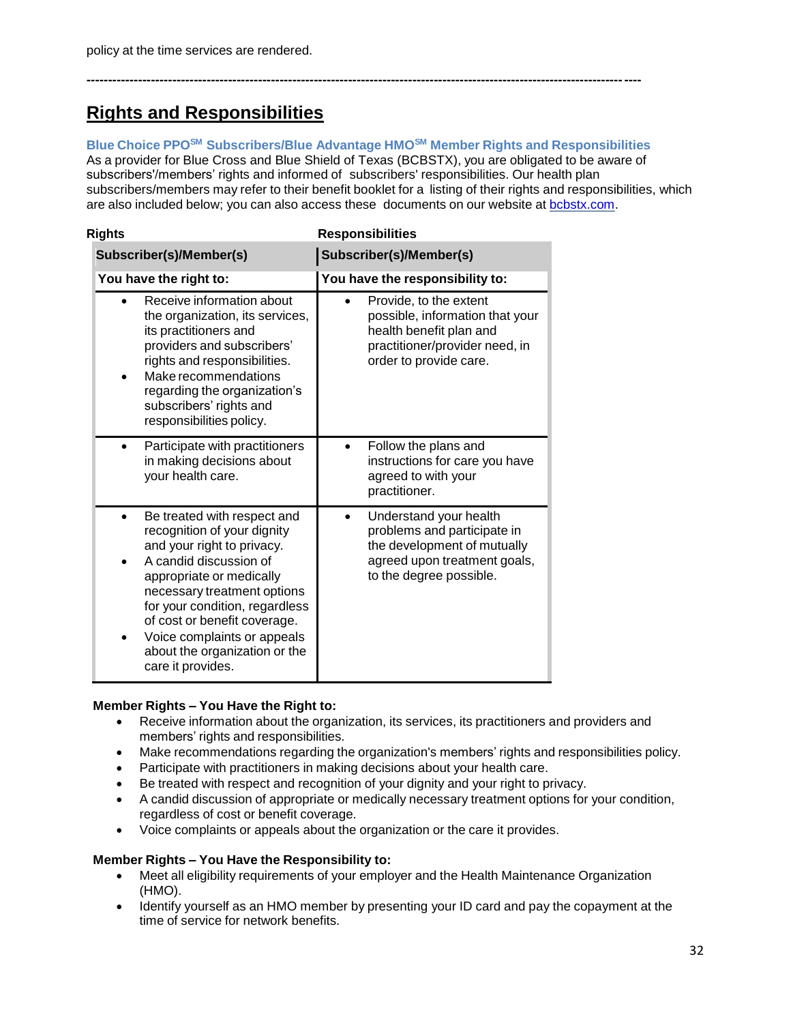# **Rights and Responsibilities**

# **Blue Choice PPOSM Subscribers/Blue Advantage HMOSM Member Rights and Responsibilities**

**---------------------------------------------------------------------------------------------------------------------------------**

As a provider for Blue Cross and Blue Shield of Texas (BCBSTX), you are obligated to be aware of subscribers'/members' rights and informed of subscribers' responsibilities. Our health plan subscribers/members may refer to their benefit booklet for a listing of their rights and responsibilities, which are also included below; you can also access these documents on our website at **bcbstx.com**.

| Rights                                                                                                                                                                                                                                                                                                                               | <b>Responsibilities</b>                                                                                                                          |
|--------------------------------------------------------------------------------------------------------------------------------------------------------------------------------------------------------------------------------------------------------------------------------------------------------------------------------------|--------------------------------------------------------------------------------------------------------------------------------------------------|
| Subscriber(s)/Member(s)                                                                                                                                                                                                                                                                                                              | Subscriber(s)/Member(s)                                                                                                                          |
| You have the right to:                                                                                                                                                                                                                                                                                                               | You have the responsibility to:                                                                                                                  |
| Receive information about<br>the organization, its services,<br>its practitioners and<br>providers and subscribers'<br>rights and responsibilities.<br>Make recommendations<br>regarding the organization's<br>subscribers' rights and<br>responsibilities policy.                                                                   | Provide, to the extent<br>possible, information that your<br>health benefit plan and<br>practitioner/provider need, in<br>order to provide care. |
| Participate with practitioners<br>in making decisions about<br>your health care.                                                                                                                                                                                                                                                     | Follow the plans and<br>instructions for care you have<br>agreed to with your<br>practitioner.                                                   |
| Be treated with respect and<br>recognition of your dignity<br>and your right to privacy.<br>A candid discussion of<br>appropriate or medically<br>necessary treatment options<br>for your condition, regardless<br>of cost or benefit coverage.<br>Voice complaints or appeals<br>about the organization or the<br>care it provides. | Understand your health<br>problems and participate in<br>the development of mutually<br>agreed upon treatment goals,<br>to the degree possible.  |

# **Member Rights – You Have the Right to:**

- Receive information about the organization, its services, its practitioners and providers and members' rights and responsibilities.
- Make recommendations regarding the organization's members' rights and responsibilities policy.
- Participate with practitioners in making decisions about your health care.
- Be treated with respect and recognition of your dignity and your right to privacy.
- A candid discussion of appropriate or medically necessary treatment options for your condition, regardless of cost or benefit coverage.
- Voice complaints or appeals about the organization or the care it provides.

# **Member Rights – You Have the Responsibility to:**

- Meet all eligibility requirements of your employer and the Health Maintenance Organization (HMO).
- Identify yourself as an HMO member by presenting your ID card and pay the copayment at the time of service for network benefits.